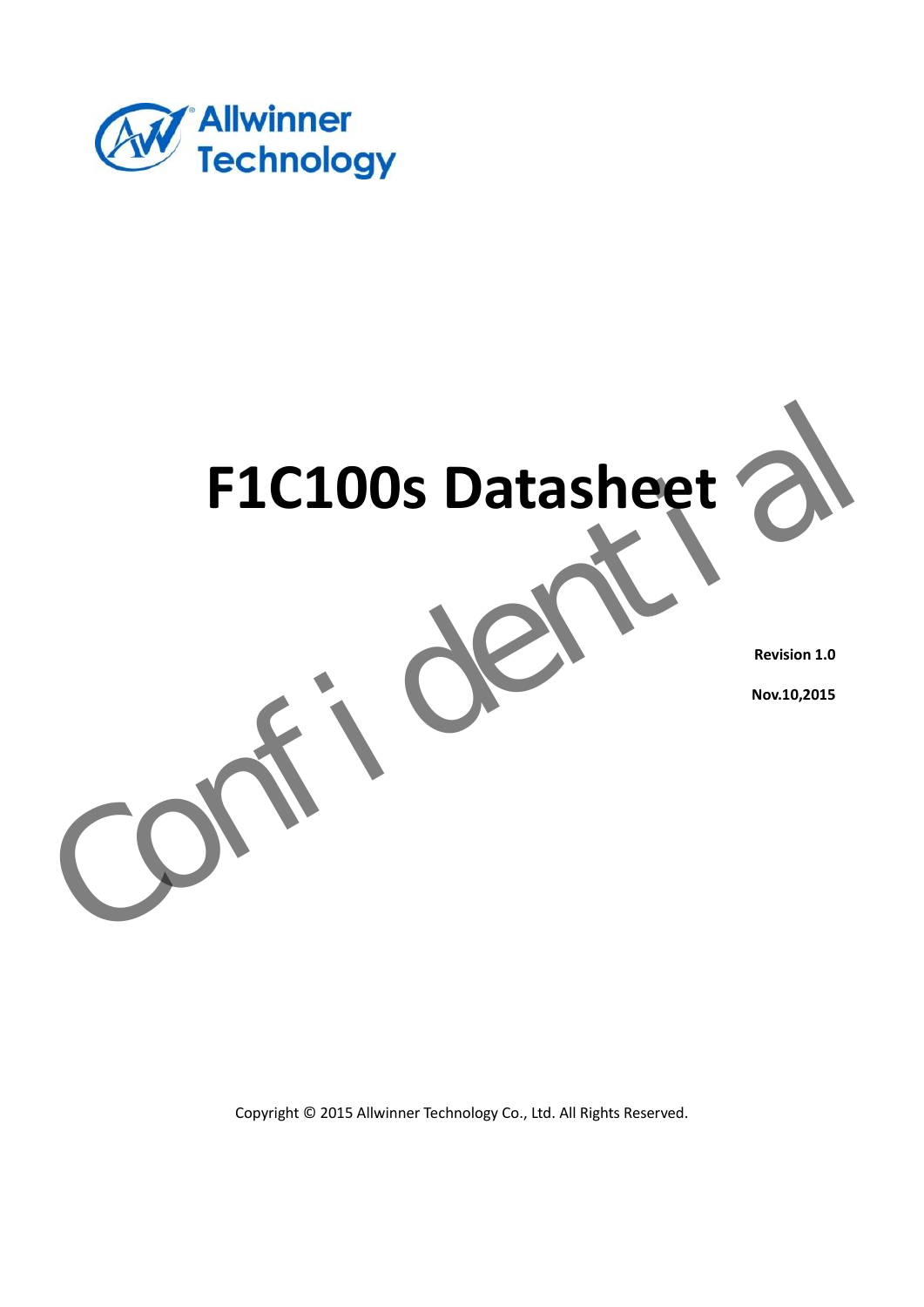



**Revision 1.0** 

**Nov.10,2015** 

Copyright © 2015 Allwinner Technology Co., Ltd. All Rights Reserved.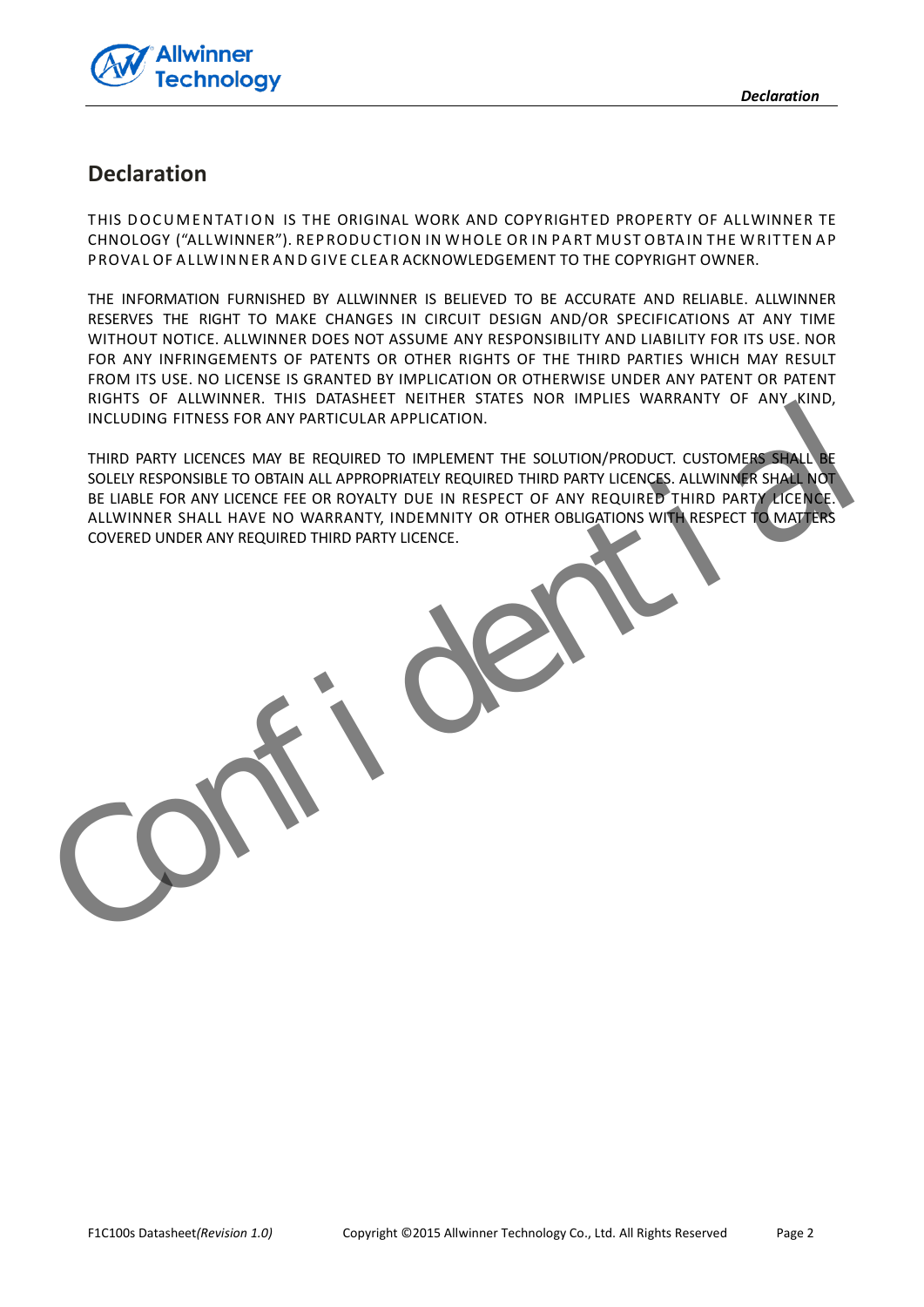

### **Declaration**

THIS DOCUMENTATION IS THE ORIGINAL WORK AND COPYRIGHTED PROPERTY OF ALLWINNER TE CHNOLOGY ("ALL WINNER"). REPRODUCTION IN WHOLE OR IN PART MUST OBTAIN THE WRITTEN AP PROVAL OF ALLWINNER AND GIVE CLEAR ACKNOWLEDGEMENT TO THE COPYRIGHT OWNER.

THE INFORMATION FURNISHED BY ALLWINNER IS BELIEVED TO BE ACCURATE AND RELIABLE. ALLWINNER RESERVES THE RIGHT TO MAKE CHANGES IN CIRCUIT DESIGN AND/OR SPECIFICATIONS AT ANY TIME WITHOUT NOTICE. ALLWINNER DOES NOT ASSUME ANY RESPONSIBILITY AND LIABILITY FOR ITS USE. NOR FOR ANY INFRINGEMENTS OF PATENTS OR OTHER RIGHTS OF THE THIRD PARTIES WHICH MAY RESULT FROM ITS USE. NO LICENSE IS GRANTED BY IMPLICATION OR OTHERWISE UNDER ANY PATENT OR PATENT RIGHTS OF ALLWINNER. THIS DATASHEET NEITHER STATES NOR IMPLIES WARRANTY OF ANY KIND, INCLUDING FITNESS FOR ANY PARTICULAR APPLICATION.

THIRD PARTY LICENCES MAY BE REQUIRED TO IMPLEMENT THE SOLUTION/PRODUCT. CUSTOMERS SHALL SOLELY RESPONSIBLE TO OBTAIN ALL APPROPRIATELY REQUIRED THIRD PARTY LICENCES. ALLWINNER SHALL NOT BE LIABLE FOR ANY LICENCE FEE OR ROYALTY DUE IN RESPECT OF ANY REQUIRED THIRD PARTY LICENCE. ALLWINNER SHALL HAVE NO WARRANTY, INDEMNITY OR OTHER OBLIGATIONS WITH RESPECT TO MATTERS COVERED UNDER ANY REQUIRED THIRD PARTY LICENCE. NOTES CONSIDER ANY REQUIRED THIS DATE VIENTIES WAS NON IMPLIES WARRANTY OF ANY KIND.<br>
THIRD PARTY UCENCES MAY BE REQUIRED TO IMPLEMENT THE SOLUTION/PRODUCT. CUSTOMERS SHALL ARE<br>
SOLUTIONS FOR ANY UCENCE RECORD AND DUE IN R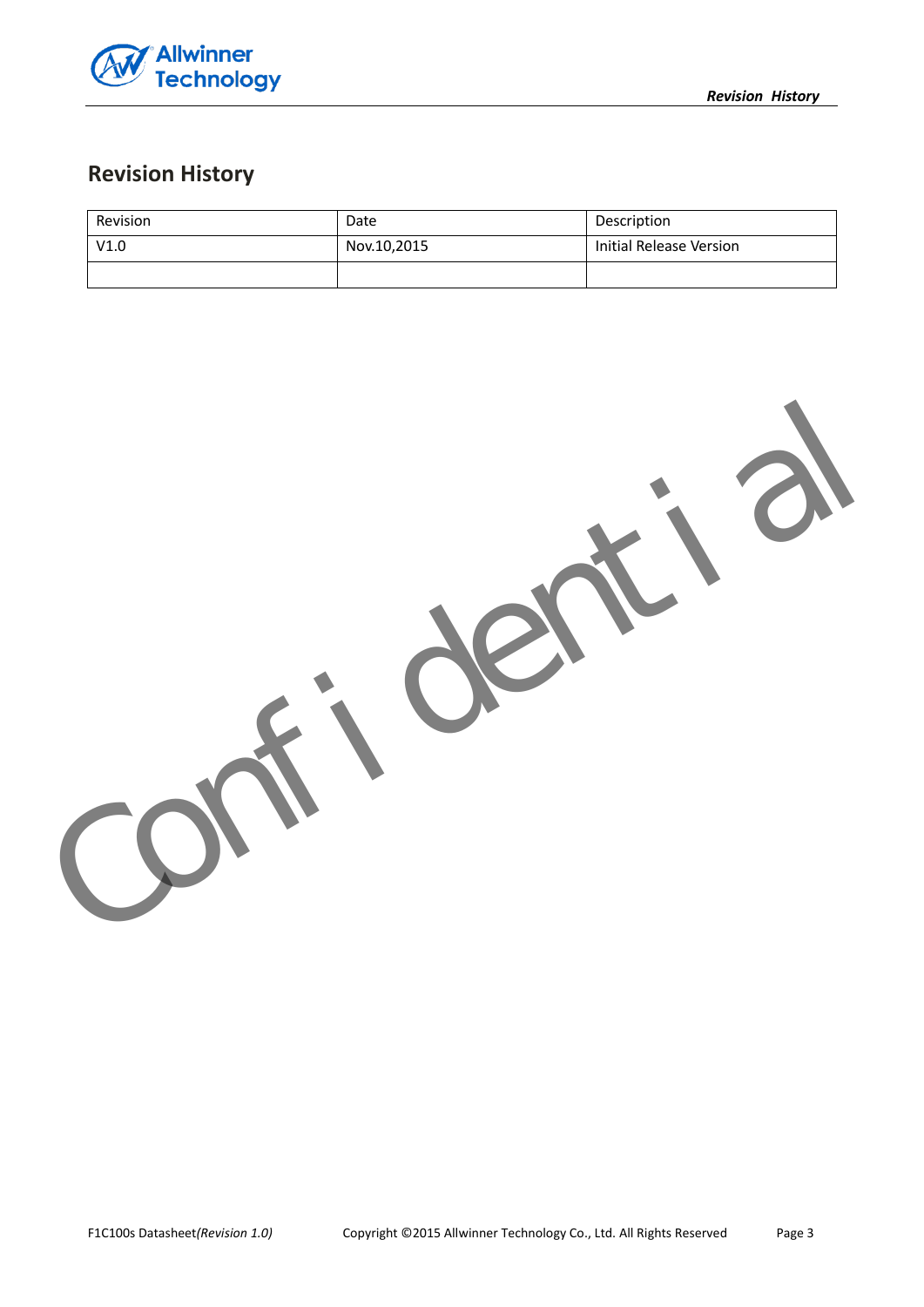

# **Revision History**

| Revision | Date        | Description             |
|----------|-------------|-------------------------|
| V1.0     | Nov.10,2015 | Initial Release Version |
|          |             |                         |

Confidential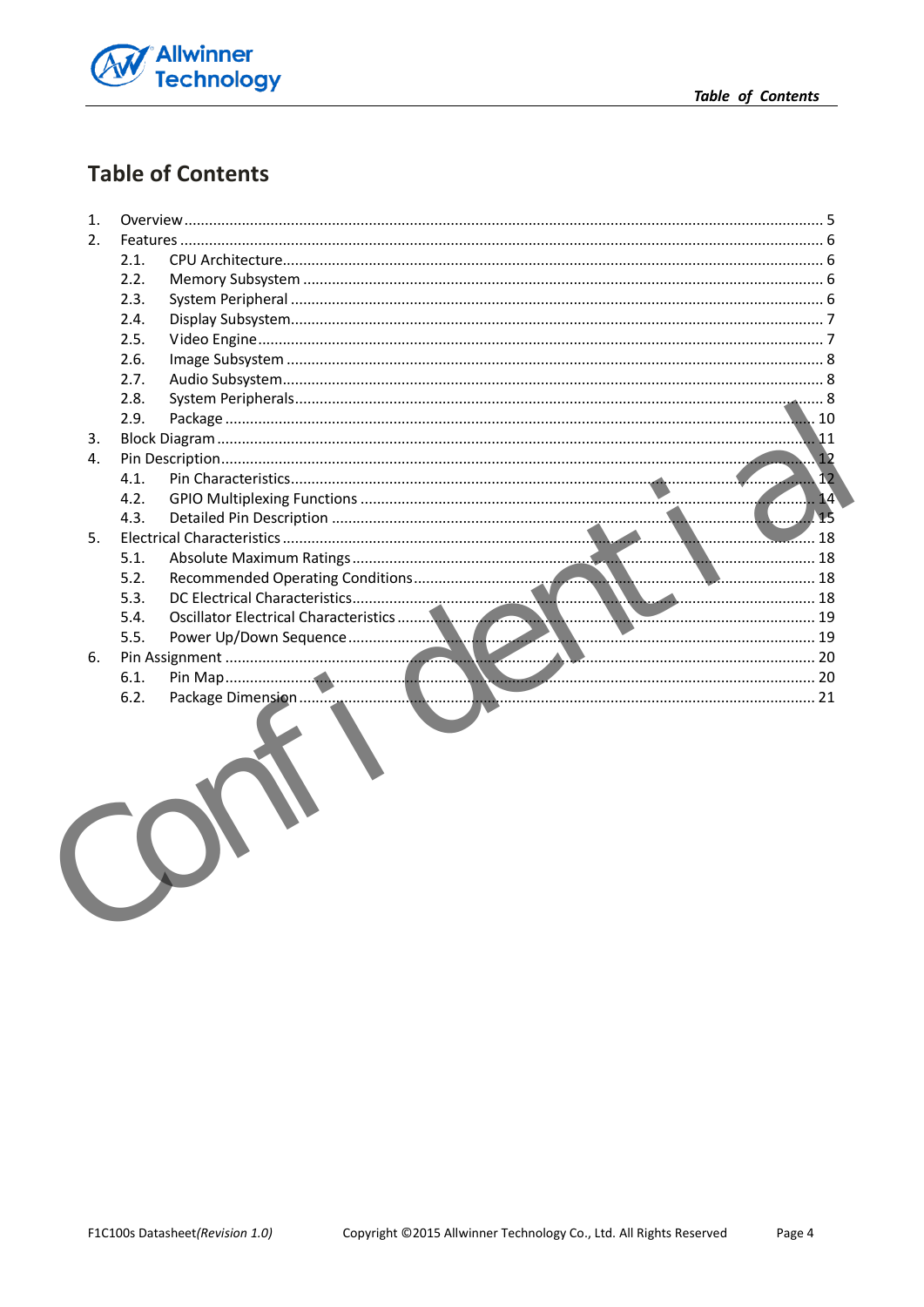

# **Table of Contents**

| 1.  |      |       |
|-----|------|-------|
| 2.  |      |       |
|     | 2.1. |       |
|     | 2.2. |       |
|     | 2.3. |       |
|     | 2.4. |       |
|     | 2.5. |       |
|     | 2.6. |       |
|     | 2.7. |       |
|     | 2.8. |       |
|     | 2.9. |       |
| 3.  |      |       |
| 4.  |      |       |
|     | 4.1. |       |
|     | 4.2. | 14    |
|     | 4.3. | $-15$ |
| .5. |      |       |
|     | 5.1. |       |
|     | 5.2. |       |
|     | 5.3. |       |
|     | 5.4. |       |
|     |      |       |
| 6.  |      |       |
|     |      |       |
|     | 6.2. |       |
|     |      |       |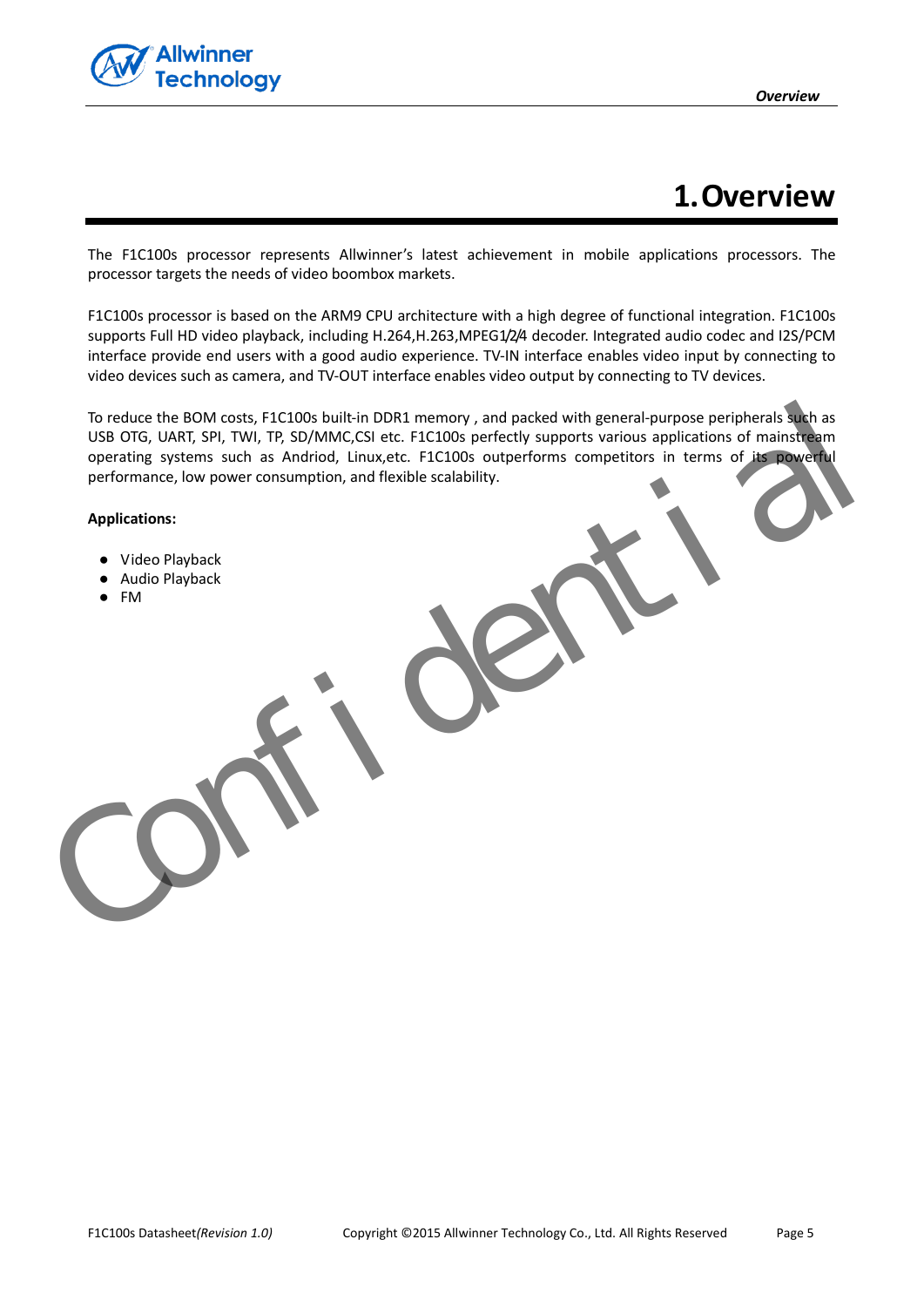

# **1.Overview**

<span id="page-4-0"></span>The F1C100s processor represents Allwinner's latest achievement in mobile applications processors. The processor targets the needs of video boombox markets.

F1C100s processor is based on the ARM9 CPU architecture with a high degree of functional integration. F1C100s supports Full HD video playback, including H.264,H.263,MPEG1/2/4 decoder. Integrated audio codec and I2S/PCM interface provide end users with a good audio experience. TV-IN interface enables video input by connecting to video devices such as camera, and TV-OUT interface enables video output by connecting to TV devices.

To reduce the BOM costs, F1C100s built-in DDR1 memory , and packed with general-purpose peripherals such as USB OTG, UART, SPI, TWI, TP, SD/MMC,CSI etc. F1C100s perfectly supports various applications of mainstream operating systems such as Andriod, Linux,etc. F1C100s outperforms competitors in terms of its powerful performance, low power consumption, and flexible scalability. To reduce the BOM costs, FLC100s built-in DDR1 memory, and packed with general-purpose peripherals are<br>used OTG, UARIT, SPI, TWI, TP, SD/MMCGSI etc. FLC100S perfectly supports various applications of maintain<br>operating sys

**Applications:** 

- Video Playback
- Audio Playback
- FM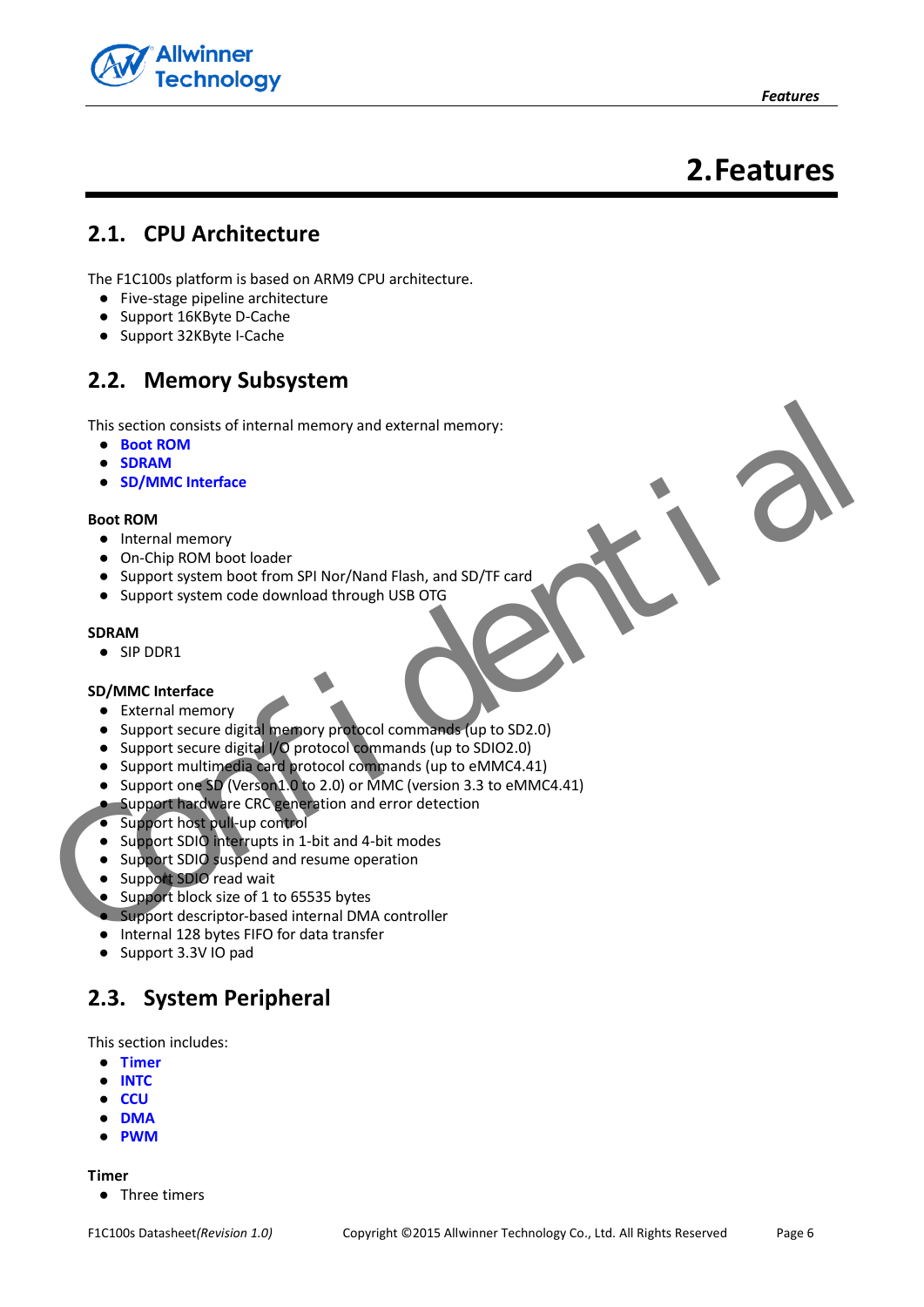

# **2.Features**

## <span id="page-5-1"></span><span id="page-5-0"></span>**2.1. CPU Architecture**

The F1C100s platform is based on ARM9 CPU architecture.

- Five-stage pipeline architecture
- Support 16KByte D-Cache
- Support 32KByte I-Cache

# <span id="page-5-2"></span>**2.2. Memory Subsystem**

This section consists of internal memory and external memory:

- **Boot ROM**
- **SDRAM**
- **SD/MMC Interface**

#### <span id="page-5-4"></span>**Boot ROM**

- Internal memory
- On-Chip ROM boot loader
- Support system boot from SPI Nor/Nand Flash, and SD/TF card
- Support system code download through USB OTG

#### <span id="page-5-5"></span>**SDRAM**

● SIP DDR1

#### <span id="page-5-6"></span>**SD/MMC Interface**

- External memory
- Support secure digital memory protocol commands (up to SD2.0)
- Support secure digital I/O protocol commands (up to SDIO2.0)
- Support multimedia card protocol commands (up to eMMC4.41) This section consists of internal memory and external memory:<br>
SD/MM<br>
SD/MM<br>
SD/MM<br>
SD/MM<br>
Conchip ROM boot loader<br>
Support system boot from SP Nor/Nand Flash, and SD/TF card<br>
Support system boot internal memory<br>
SIP DDR1<br>
	- Support one SD (Verson1.0 to 2.0) or MMC (version 3.3 to eMMC4.41)
	- **.** Support hardware CRC generation and error detection
	- Support host pull-up control
	- Support SDIO interrupts in 1-bit and 4-bit modes
	- Support SDIO suspend and resume operation
	- Support SDIO read wait
	- Support block size of 1 to 65535 bytes
	- Support descriptor-based internal DMA controller
	- Internal 128 bytes FIFO for data transfer
	- Support 3.3V IO pad

# <span id="page-5-3"></span>**2.3. System Peripheral**

This section includes:

- **[Timer](#page-5-7)**
- **[INTC](#page-6-2)**
- **[CCU](#page-6-3)**
- **[DMA](#page-6-4)**
- **[PWM](#page-6-5)**

<span id="page-5-7"></span>**Timer** 

● Three timers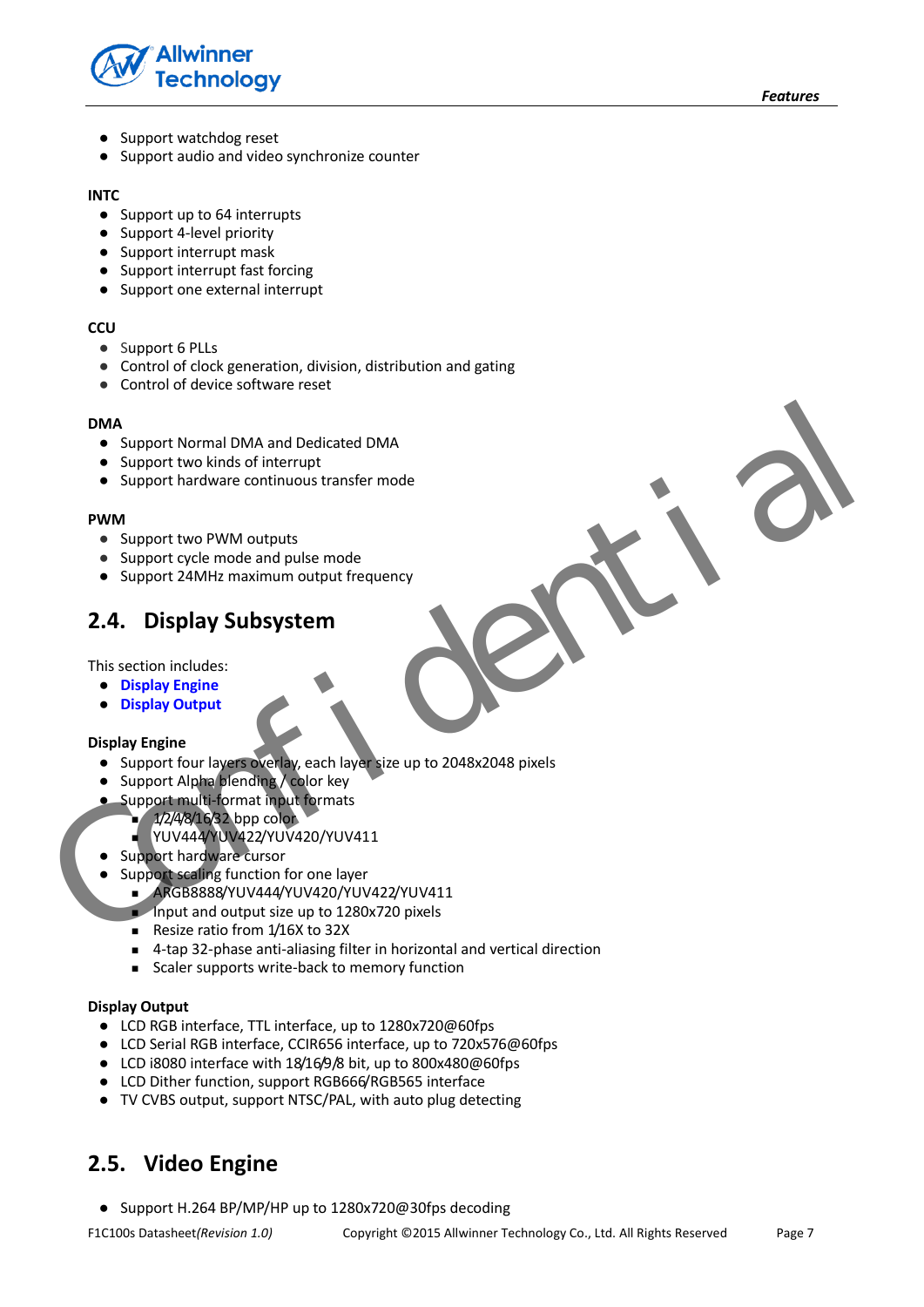

- Support watchdog reset
- Support audio and video synchronize counter

#### <span id="page-6-2"></span>**INTC**

- Support up to 64 interrupts
- Support 4-level priority
- Support interrupt mask
- Support interrupt fast forcing
- Support one external interrupt

#### <span id="page-6-3"></span>**CCU**

- Support 6 PLLs
- Control of clock generation, division, distribution and gating
- Control of device software reset

#### <span id="page-6-4"></span>**DMA**

- Support Normal DMA and Dedicated DMA
- Support two kinds of interrupt
- Support hardware continuous transfer mode

#### <span id="page-6-5"></span>**PWM**

- Support two PWM outputs
- Support cycle mode and pulse mode
- Support 24MHz maximum output frequency

# <span id="page-6-0"></span>**2.4. Display Subsystem**

This section includes:

- **Display Engine**
- **Display Output**

#### <span id="page-6-6"></span>**Display Engine**

- Support four layers overlay, each layer size up to 2048x2048 pixels DMA<br>
Support Normal DMA and Dedicated DMA<br>
Support Normal DMA and Dedicated DMA<br>
Support Nardware continuous transfer mode<br>
PWM<br>
Support PMM durants<br>
Support PMM durants<br>
Support PMM durants<br>
Support PMM durants<br>
Support P
	- Support Alpha blending / color key
	- Support multi-format input formats
		- $1/2/4/8/16/32$  bpp color-
			- YUV444/YUV422/YUV420/YUV411
		- Support hardware cursor
	- Support scaling function for one layer
		- ARGB8888/YUV444/YUV420/YUV422/YUV411
		- Input and output size up to 1280x720 pixels
		- Resize ratio from 1/16X to 32X
		- 4-tap 32-phase anti-aliasing filter in horizontal and vertical direction
		- Scaler supports write-back to memory function

#### <span id="page-6-7"></span>**Display Output**

- LCD RGB interface, TTL interface, up to 1280x720@60fps
- LCD Serial RGB interface, CCIR656 interface, up to 720x576@60fps
- LCD i8080 interface with 18/16/9/8 bit, up to 800x480@60fps
- LCD Dither function, support RGB666/RGB565 interface
- TV CVBS output, support NTSC/PAL, with auto plug detecting

# <span id="page-6-1"></span>**2.5. Video Engine**

● Support H.264 BP/MP/HP up to 1280x720@30fps decoding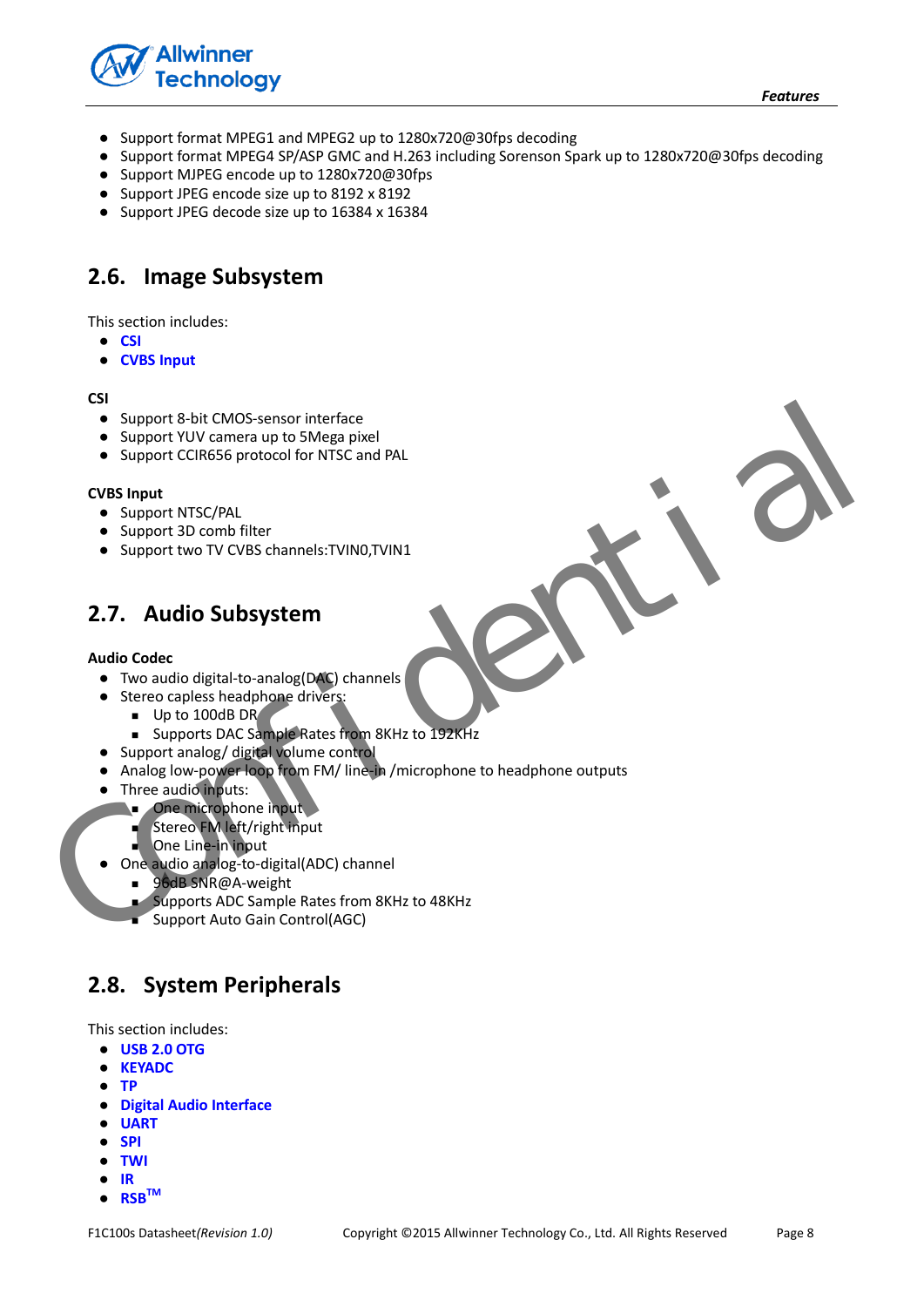

- Support format MPEG1 and MPEG2 up to 1280x720@30fps decoding
- Support format MPEG4 SP/ASP GMC and H.263 including Sorenson Spark up to 1280x720@30fps decoding
- Support MJPEG encode up to 1280x720@30fps
- Support JPEG encode size up to 8192 x 8192
- Support JPEG decode size up to 16384 x 16384

### <span id="page-7-0"></span>**2.6. Image Subsystem**

This section includes:

- **[CSI](#page-7-3)**
- **[CVBS Input](#page-7-4)**

#### <span id="page-7-3"></span>**CSI**

- Support 8-bit CMOS-sensor interface
- Support YUV camera up to 5Mega pixel
- Support CCIR656 protocol for NTSC and PAL

#### <span id="page-7-4"></span>**CVBS Input**

- Support NTSC/PAL
- Support 3D comb filter
- Support two TV CVBS channels:TVIN0,TVIN1

## <span id="page-7-1"></span>**2.7. Audio Subsystem**

#### **Audio Codec**

- Two audio digital-to-analog(DAC) channels
- Stereo capless headphone drivers:
	- Up to 100dB DR
	- **Supports DAC Sample Rates from 8KHz to 192KHz**
- Support analog/ digital volume control
- Analog low-power loop from FM/ line-in /microphone to headphone outputs Support 8-bit CMOS-sensor interface<br>
Support CCIRG65 protocol for MTSC and PAL<br>
Support TVIV cames up to 5 Mega pixel<br>
CVBS input<br>
CVBS input<br>
CONFIDENT AND CONFIDENT SUPPORT AND CONFIDENT CONFIDENCIAL<br>
Support and only of
	- Three audio inputs:
		- **One microphone input** 
			- Stereo FM left/right input
			- One Line-in input
		- One audio analog-to-digital(ADC) channel
			- 96dB SNR@A-weight
			- Supports ADC Sample Rates from 8KHz to 48KHz
			- Support Auto Gain Control(AGC)

## <span id="page-7-2"></span>**2.8. System Peripherals**

This section includes:

- **[USB 2.0 OTG](#page-8-0)**
- **[KEYADC](#page-8-1)**
- **[TP](#page-8-2)**
- **[Digital Audio Interface](#page-8-3)**
- **[UART](#page-8-4)**
- **[SPI](#page-8-5)**
- **[TWI](#page-9-1)**
- **[IR](#page-9-2)**
- **[RSB](#page-9-3)TM**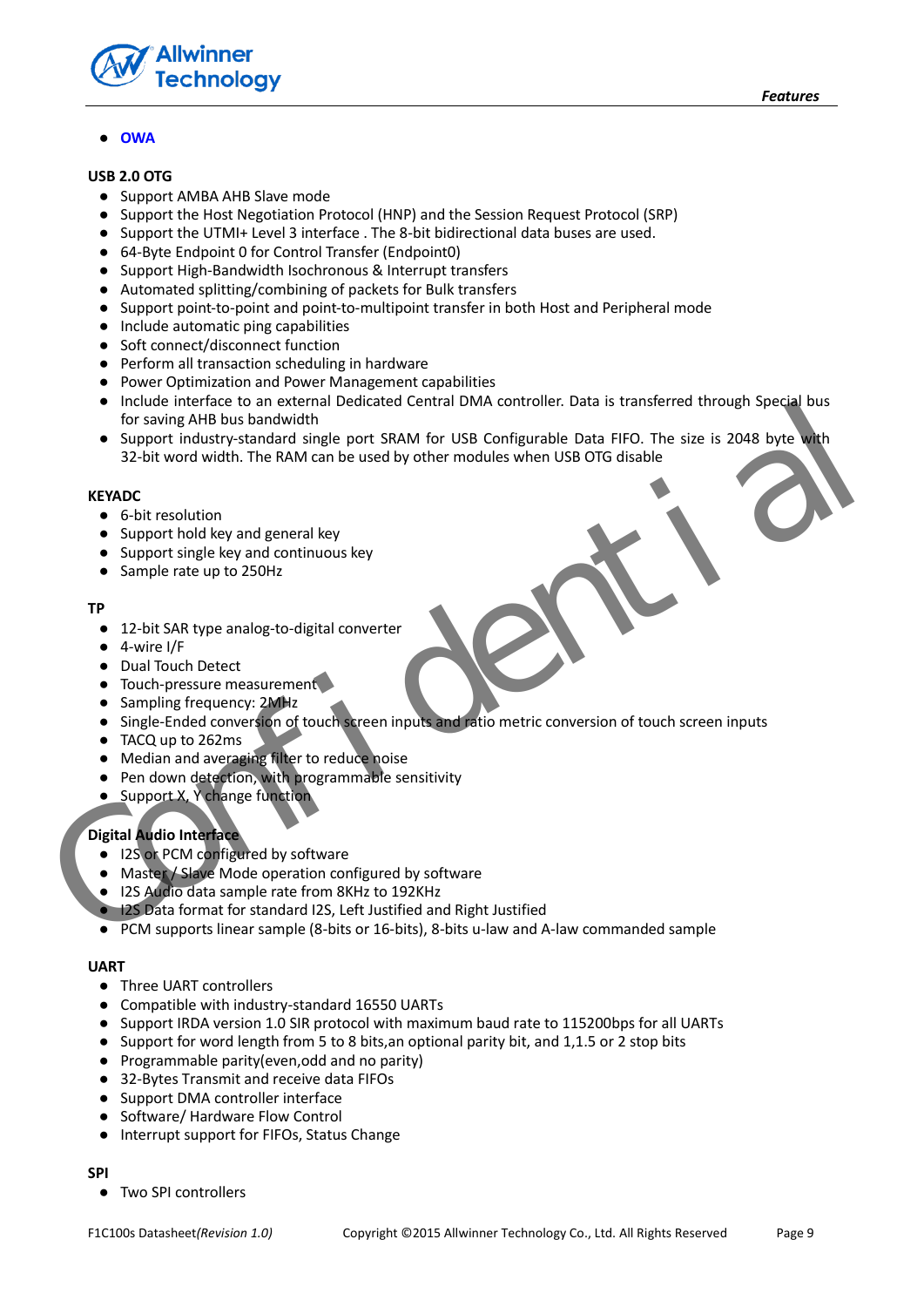

#### ● **[OWA](#page-9-4)**

#### <span id="page-8-0"></span>**USB 2.0 OTG**

- Support AMBA AHB Slave mode
- Support the Host Negotiation Protocol (HNP) and the Session Request Protocol (SRP)
- Support the UTMI+ Level 3 interface . The 8-bit bidirectional data buses are used.
- 64-Byte Endpoint 0 for Control Transfer (Endpoint0)
- Support High-Bandwidth Isochronous & Interrupt transfers
- Automated splitting/combining of packets for Bulk transfers
- Support point-to-point and point-to-multipoint transfer in both Host and Peripheral mode
- Include automatic ping capabilities
- Soft connect/disconnect function
- Perform all transaction scheduling in hardware
- Power Optimization and Power Management capabilities
- Include interface to an external Dedicated Central DMA controller. Data is transferred through Special bus for saving AHB bus bandwidth
- Support industry-standard single port SRAM for USB Configurable Data FIFO. The size is 2048 byte with 32-bit word width. The RAM can be used by other modules when USB OTG disable • Include interface to one external Dedicated Central DMA controller. Data is transferred through Special bus<br>
• for saving AHB bus bandwidth<br>
• Support industry-standard single port SRAM for USB Configurable Data FIFO. Th

#### <span id="page-8-1"></span>**KEYADC**

- 6-bit resolution
- Support hold key and general key
- Support single key and continuous key
- Sample rate up to 250Hz

#### <span id="page-8-2"></span>**TP**

- 12-bit SAR type analog-to-digital converter
- $\bullet$  4-wire I/F
- Dual Touch Detect
- Touch-pressure measurement
- Sampling frequency: 2MHz
- Single-Ended conversion of touch screen inputs and ratio metric conversion of touch screen inputs
- TACQ up to 262ms
- Median and averaging filter to reduce noise
- Pen down detection, with programmable sensitivity
- Support X, Y change function

#### <span id="page-8-3"></span>**Digital Audio Interface**

- I2S or PCM configured by software
- Master / Slave Mode operation configured by software
- I2S Audio data sample rate from 8KHz to 192KHz
- **I2S Data format for standard I2S, Left Justified and Right Justified**
- PCM supports linear sample (8-bits or 16-bits), 8-bits u-law and A-law commanded sample

#### <span id="page-8-4"></span>**UART**

- Three UART controllers
- Compatible with industry-standard 16550 UARTs
- Support IRDA version 1.0 SIR protocol with maximum baud rate to 115200bps for all UARTs
- Support for word length from 5 to 8 bits,an optional parity bit, and 1,1.5 or 2 stop bits
- Programmable parity(even,odd and no parity)
- 32-Bytes Transmit and receive data FIFOs
- Support DMA controller interface
- Software/ Hardware Flow Control
- Interrupt support for FIFOs, Status Change

#### <span id="page-8-5"></span>**SPI**

● Two SPI controllers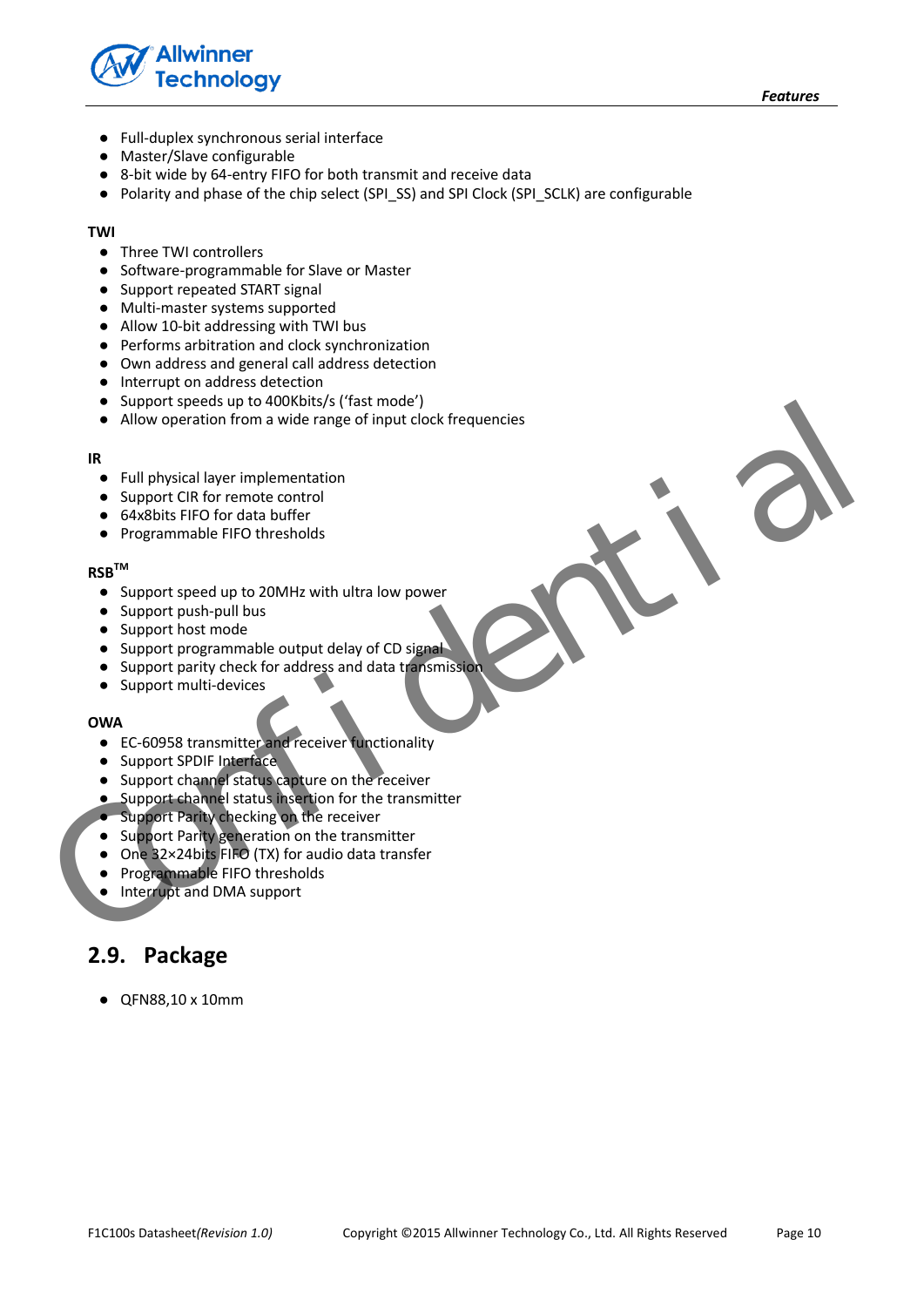



- Full-duplex synchronous serial interface
- Master/Slave configurable
- 8-bit wide by 64-entry FIFO for both transmit and receive data
- Polarity and phase of the chip select (SPI\_SS) and SPI Clock (SPI\_SCLK) are configurable

#### <span id="page-9-1"></span>**TWI**

- Three TWI controllers
- Software-programmable for Slave or Master
- Support repeated START signal
- Multi-master systems supported
- Allow 10-bit addressing with TWI bus
- Performs arbitration and clock synchronization
- Own address and general call address detection
- Interrupt on address detection
- Support speeds up to 400Kbits/s ('fast mode')
- Allow operation from a wide range of input clock frequencies Support Speeds up to 400X6hts's (Tast mode)<br>
• Allow operation from a wide range of input clock frequencies<br> **R**<br>
• Full physical layer implementation<br>
• Support CIR for remote control<br>
• Support Speed up to 200MHz with ul

#### <span id="page-9-2"></span>**IR**

- Full physical layer implementation
- Support CIR for remote control
- 64x8bits FIFO for data buffer
- Programmable FIFO thresholds

#### <span id="page-9-3"></span>**RSBTM**

- Support speed up to 20MHz with ultra low power
- Support push-pull bus
- Support host mode
- Support programmable output delay of CD signal
- Support parity check for address and data transmission
- Support multi-devices

#### <span id="page-9-4"></span>**OWA**

- EC-60958 transmitter and receiver functionality
- Support SPDIF Interface
- Support channel status capture on the receiver
- Support channel status insertion for the transmitter
- Support Parity checking on the receiver
- Support Parity generation on the transmitter
- One 32×24bits FIFO (TX) for audio data transfer
- Programmable FIFO thresholds
- Interrupt and DMA support

### <span id="page-9-0"></span>**2.9. Package**

● QFN88,10 x 10mm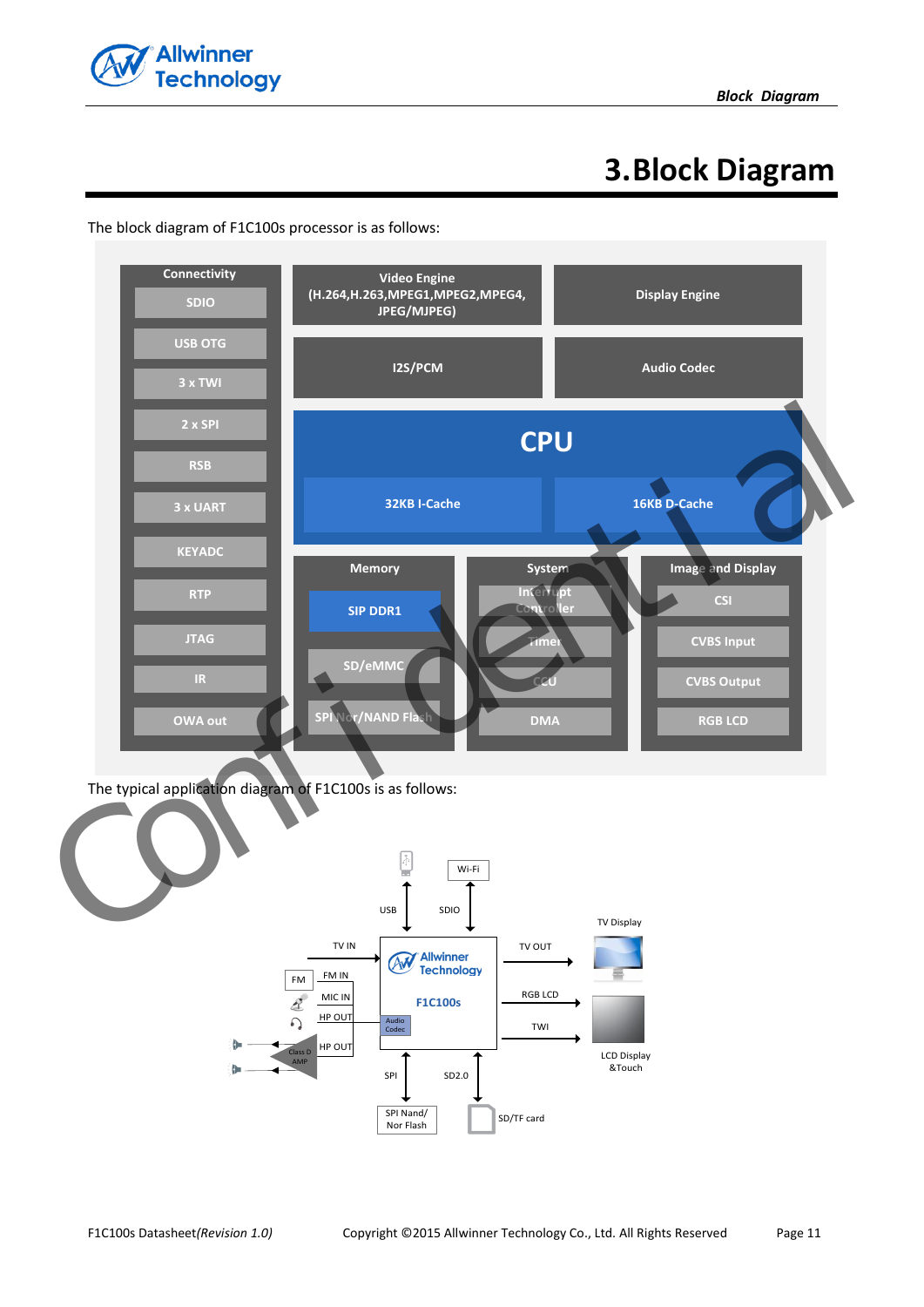

# **3.Block Diagram**



<span id="page-10-0"></span>The block diagram of F1C100s processor is as follows: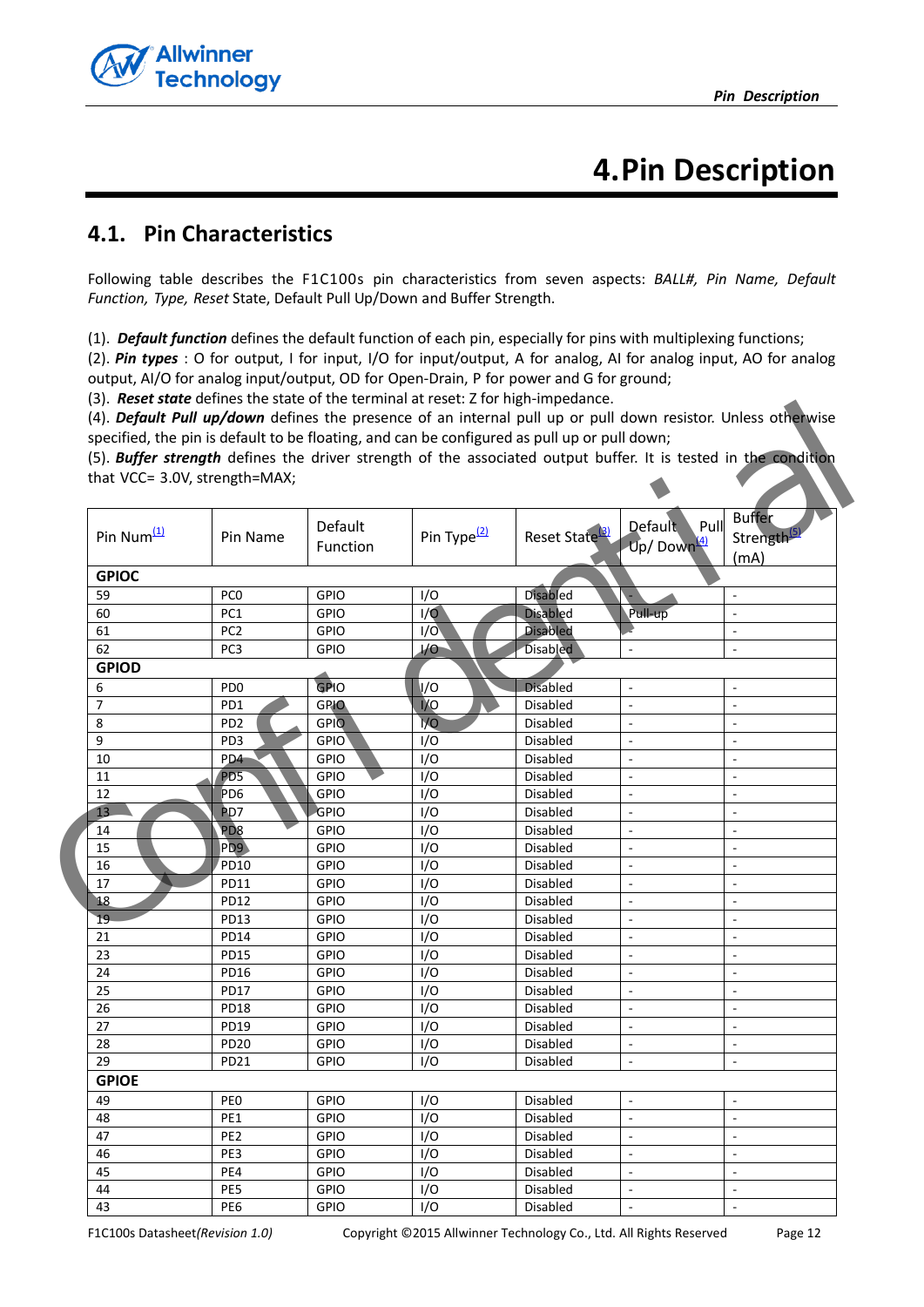

# **4.Pin Description**

## <span id="page-11-1"></span><span id="page-11-0"></span>**4.1. Pin Characteristics**

Following table describes the F1C100s pin characteristics from seven aspects: *BALL#, Pin Name, Default Function, Type, Reset* State, Default Pull Up/Down and Buffer Strength.

<span id="page-11-2"></span>(1). *Default function* defines the default function of each pin, especially for pins with multiplexing functions;

<span id="page-11-3"></span>(2). *Pin types* : O for output, I for input, I/O for input/output, A for analog, AI for analog input, AO for analog output, AI/O for analog input/output, OD for Open-Drain, P for power and G for ground;

<span id="page-11-6"></span><span id="page-11-5"></span><span id="page-11-4"></span>(3). *Reset state* defines the state of the terminal at reset: Z for high-impedance.

| that VCC= 3.0V, strength=MAX; |                     |                             | (5). Buffer strength defines the driver strength of the associated output buffer. It is tested in the condition |                                                   |                                   |
|-------------------------------|---------------------|-----------------------------|-----------------------------------------------------------------------------------------------------------------|---------------------------------------------------|-----------------------------------|
| Pin Name                      | Default<br>Function | Pin Type <sup>(2)</sup>     |                                                                                                                 | <b>Default</b><br>Pull<br>Up/Down $\frac{(4)}{4}$ | <b>Buffer</b><br>Strength<br>(mA) |
|                               |                     |                             |                                                                                                                 |                                                   |                                   |
| PC <sub>0</sub>               | GPIO                | I/O                         | Disabled                                                                                                        |                                                   |                                   |
| PC1                           | GPIO                | 1/9                         | Disabled                                                                                                        | Pull-up                                           | $\overline{a}$                    |
| PC <sub>2</sub>               | GPIO                | $\overline{1}/\overline{0}$ | <b>Disabled</b>                                                                                                 |                                                   |                                   |
| PC <sub>3</sub>               | <b>GPIO</b>         | I/O                         | <b>Disabled</b>                                                                                                 | ÷,                                                | $\sim$                            |
|                               |                     |                             |                                                                                                                 |                                                   |                                   |
| PD <sub>0</sub>               | GPIO                | l/O                         | <b>Disabled</b>                                                                                                 | $\overline{\phantom{a}}$                          | ÷,                                |
| PD1                           | <b>GPIO</b>         | <b>VO</b>                   | Disabled                                                                                                        | $\overline{\phantom{a}}$                          |                                   |
| PD <sub>2</sub>               | <b>GPIO</b>         | 1/O                         | Disabled                                                                                                        | $\overline{\phantom{a}}$                          | $\overline{\phantom{a}}$          |
| PD3                           | GPIO                | I/O                         | Disabled                                                                                                        |                                                   |                                   |
| PD4                           | <b>GPIO</b>         | I/O                         | Disabled                                                                                                        |                                                   |                                   |
| PD <sub>5</sub>               | GPIO                | I/O                         | Disabled                                                                                                        | L,                                                |                                   |
| P <sub>D6</sub>               | GPIO                | I/O                         | Disabled                                                                                                        | $\overline{\phantom{a}}$                          | $\overline{\phantom{a}}$          |
| P <sub>D</sub> 7              | GPIO                | I/O                         | Disabled                                                                                                        | ÷,                                                |                                   |
| P <sub>D</sub> <sub>8</sub>   | GPIO                | I/O                         | Disabled                                                                                                        | ÷,                                                | $\overline{\phantom{a}}$          |
| PD9                           | <b>GPIO</b>         | I/O                         | Disabled                                                                                                        | ÷,                                                |                                   |
| <b>PD10</b>                   | GPIO                | I/O                         | Disabled                                                                                                        |                                                   |                                   |
| PD11                          | GPIO                | I/O                         | Disabled                                                                                                        | $\overline{\phantom{a}}$                          | ÷,                                |
| PD12                          | GPIO                | I/O                         | Disabled                                                                                                        | $\overline{\phantom{a}}$                          | ÷,                                |
| PD13                          | GPIO                |                             | Disabled                                                                                                        | $\overline{\phantom{a}}$                          |                                   |
| <b>PD14</b>                   | GPIO                |                             | Disabled                                                                                                        | ÷,                                                |                                   |
| <b>PD15</b>                   | GPIO                |                             | Disabled                                                                                                        | ÷,                                                |                                   |
| <b>PD16</b>                   | GPIO                |                             | Disabled                                                                                                        |                                                   |                                   |
| <b>PD17</b>                   | GPIO                | I/O                         | Disabled                                                                                                        | L.                                                |                                   |
| PD18                          | GPIO                |                             | Disabled                                                                                                        | $\bar{a}$                                         | $\overline{\phantom{a}}$          |
| <b>PD19</b>                   | GPIO                | I/O                         | Disabled                                                                                                        | ÷,                                                | $\overline{\phantom{a}}$          |
|                               |                     |                             |                                                                                                                 | $\overline{\phantom{a}}$                          | $\overline{\phantom{a}}$          |
| PD <sub>21</sub>              | <b>GPIO</b>         |                             | Disabled                                                                                                        | $\overline{\phantom{a}}$                          |                                   |
|                               |                     |                             |                                                                                                                 |                                                   |                                   |
| PE <sub>0</sub>               | <b>GPIO</b>         | I/O                         | Disabled                                                                                                        | $\blacksquare$                                    | $\overline{\phantom{a}}$          |
| PE1                           | GPIO                | I/O                         | Disabled                                                                                                        | $\blacksquare$                                    | $\overline{\phantom{a}}$          |
| PE <sub>2</sub>               | GPIO                | I/O                         | Disabled                                                                                                        | $\overline{\phantom{a}}$                          | -                                 |
| PE3                           | <b>GPIO</b>         | I/O                         | Disabled                                                                                                        | $\overline{a}$                                    | $\overline{a}$                    |
| PE4                           | <b>GPIO</b>         | I/O                         | Disabled                                                                                                        | $\overline{\phantom{a}}$                          | ÷,                                |
| PE5                           | <b>GPIO</b>         | I/O                         | Disabled                                                                                                        | $\overline{\phantom{a}}$                          | $\overline{\phantom{a}}$          |
|                               | <b>PD20</b>         | GPIO                        | I/O<br>I/O<br>I/O<br>I/O<br>I/O<br>I/O<br>I/O                                                                   | Disabled                                          | Reset State <sup>[3]</sup>        |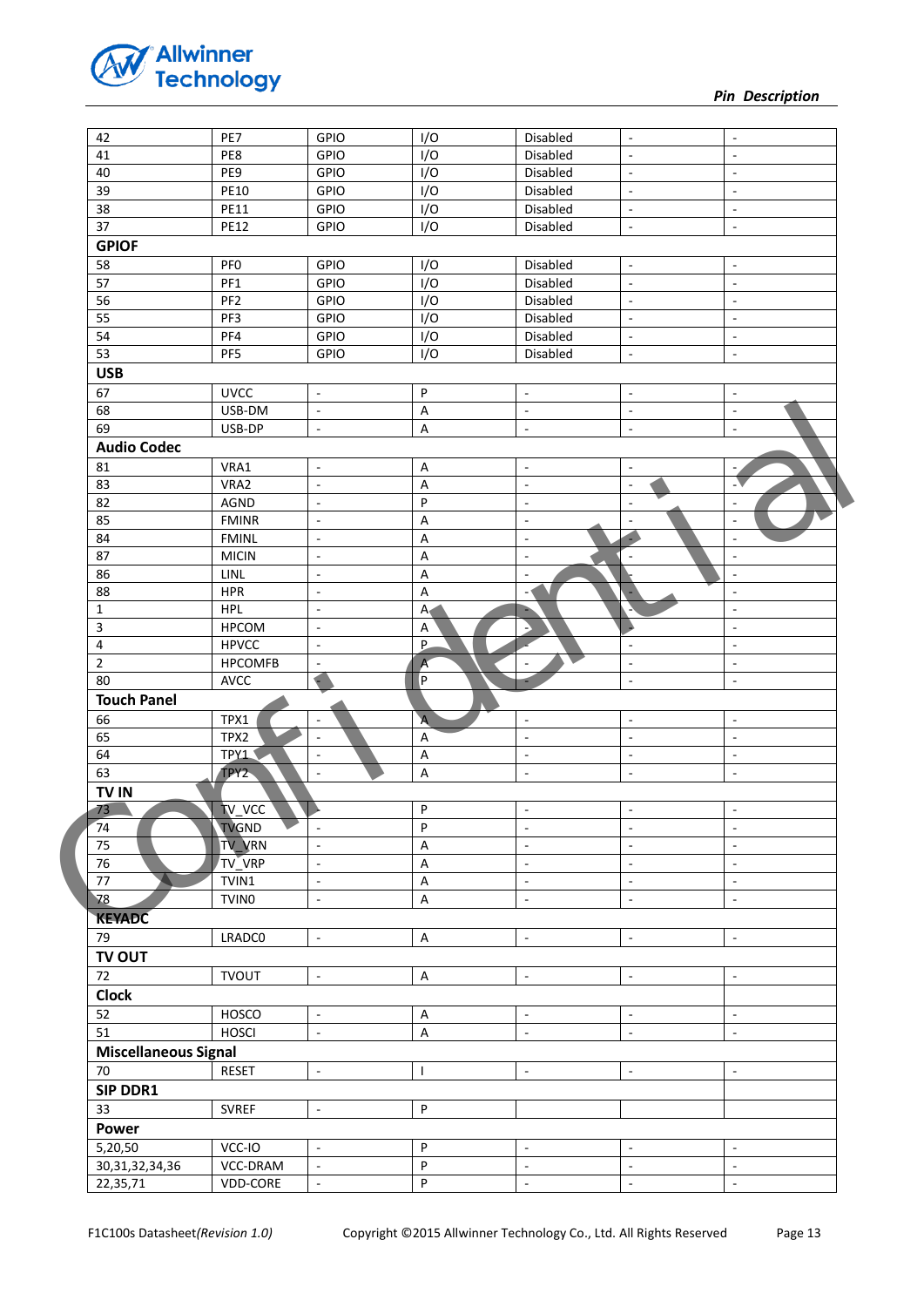

*Pin Description* 

| 42                                                                                                 | PE7             | GPIO                                       | I/O                                         | Disabled                                   | $\overline{\phantom{a}}$                             | $\overline{\phantom{a}}$                                 |
|----------------------------------------------------------------------------------------------------|-----------------|--------------------------------------------|---------------------------------------------|--------------------------------------------|------------------------------------------------------|----------------------------------------------------------|
| 41                                                                                                 | PE8             | GPIO                                       | I/O                                         | Disabled                                   | $\overline{\phantom{a}}$                             | $\overline{\phantom{a}}$                                 |
| 40                                                                                                 | PE9             | GPIO                                       | I/O                                         | Disabled                                   | $\overline{\phantom{a}}$                             | $\overline{\phantom{a}}$                                 |
| 39                                                                                                 | <b>PE10</b>     | GPIO                                       | I/O                                         | Disabled                                   | $\overline{\phantom{a}}$                             | $\overline{\phantom{m}}$                                 |
| 38                                                                                                 | <b>PE11</b>     | GPIO                                       | I/O                                         | Disabled                                   | $\overline{\phantom{a}}$                             | $\blacksquare$                                           |
| 37                                                                                                 | <b>PE12</b>     | GPIO                                       | I/O                                         | Disabled                                   | $\mathcal{L}_{\mathcal{A}}$                          | $\overline{\phantom{a}}$                                 |
| <b>GPIOF</b>                                                                                       |                 |                                            |                                             |                                            |                                                      |                                                          |
| 58                                                                                                 | PF <sub>0</sub> | GPIO                                       | I/O                                         | Disabled                                   | $\blacksquare$                                       | $\qquad \qquad \blacksquare$                             |
| 57                                                                                                 | PF1             | GPIO                                       | I/O                                         | Disabled                                   | $\overline{\phantom{a}}$                             | $\overline{a}$                                           |
| 56                                                                                                 | PF <sub>2</sub> | GPIO                                       | I/O                                         | Disabled                                   | $\overline{\phantom{a}}$                             | $\overline{\phantom{a}}$                                 |
| $\overline{55}$                                                                                    | PF3             | GPIO                                       | $\overline{1/0}$                            | Disabled                                   | $\Box$                                               | $\overline{\phantom{a}}$                                 |
| 54                                                                                                 | PF4             | GPIO                                       | $\overline{1/0}$                            | Disabled                                   | $\overline{\phantom{a}}$                             | ÷,                                                       |
| 53                                                                                                 | PF5             | GPIO                                       | I/O                                         | Disabled                                   | $\overline{\phantom{a}}$                             | $\overline{\phantom{a}}$                                 |
| <b>USB</b>                                                                                         |                 |                                            |                                             |                                            |                                                      |                                                          |
| 67                                                                                                 | <b>UVCC</b>     | $\omega$                                   | P                                           | $\overline{\phantom{a}}$                   | $\overline{\phantom{a}}$                             | $\overline{\phantom{a}}$                                 |
| 68                                                                                                 | USB-DM          | $\blacksquare$                             | $\sf A$                                     | $\Box$                                     | $\overline{\phantom{a}}$                             | $\blacksquare$                                           |
| 69                                                                                                 | USB-DP          | $\blacksquare$                             | A                                           | $\overline{\phantom{a}}$                   | $\overline{\phantom{a}}$                             | $\overline{\phantom{a}}$                                 |
| <b>Audio Codec</b>                                                                                 |                 |                                            |                                             |                                            |                                                      |                                                          |
|                                                                                                    |                 |                                            |                                             |                                            |                                                      |                                                          |
| 81<br>83                                                                                           | VRA1<br>VRA2    | $\blacksquare$                             | $\boldsymbol{\mathsf{A}}$<br>$\overline{A}$ | $\overline{\phantom{a}}$                   | $\overline{\phantom{a}}$                             | $\sim$                                                   |
| 82                                                                                                 |                 | $\blacksquare$                             | P                                           | $\overline{\phantom{a}}$                   | $\overline{\phantom{a}}$                             |                                                          |
| 85                                                                                                 | AGND            | $\overline{\phantom{a}}$<br>$\mathbb{Z}^2$ |                                             | $\overline{\phantom{a}}$<br>$\mathbb{Z}^2$ | $\overline{\phantom{a}}$<br>$\overline{\phantom{a}}$ | $\bar{\phantom{a}}$                                      |
|                                                                                                    | <b>FMINR</b>    | $\overline{a}$                             | $\boldsymbol{\mathsf{A}}$                   | $\overline{a}$                             |                                                      | ÷,                                                       |
| 84                                                                                                 | <b>FMINL</b>    |                                            | $\sf A$                                     |                                            |                                                      |                                                          |
| 87                                                                                                 | <b>MICIN</b>    | $\omega$                                   | $\sf A$                                     | $\overline{\phantom{a}}$                   |                                                      | $\overline{\phantom{a}}$                                 |
| 86                                                                                                 | LINL            | $\blacksquare$                             | $\sf A$                                     | $\Box$                                     |                                                      |                                                          |
| 88                                                                                                 | <b>HPR</b>      | $\overline{\phantom{a}}$                   | A                                           | $\overline{\phantom{a}}$                   |                                                      | ÷,                                                       |
| $\mathbf{1}$                                                                                       | <b>HPL</b>      | $\overline{\phantom{a}}$<br>$\mathcal{L}$  | $\mathsf{A}$<br>$\overline{A}$              |                                            |                                                      | $\qquad \qquad \blacksquare$<br>$\overline{\phantom{a}}$ |
| $\mathbf{3}$                                                                                       | <b>HPCOM</b>    |                                            |                                             |                                            |                                                      |                                                          |
| $\pmb{4}$<br>$\overline{2}$                                                                        | <b>HPVCC</b>    | $\overline{a}$                             | P                                           |                                            | $\overline{\phantom{a}}$                             | $\overline{\phantom{a}}$                                 |
|                                                                                                    | <b>HPCOMFB</b>  | $\overline{\phantom{a}}$                   | A                                           | $\overline{\phantom{a}}$                   | $\overline{\phantom{a}}$                             | $\overline{\phantom{a}}$                                 |
| 80                                                                                                 | <b>AVCC</b>     | $\blacksquare$                             | P                                           |                                            | $\sim$                                               | $\overline{\phantom{a}}$                                 |
| <b>Touch Panel</b>                                                                                 |                 |                                            |                                             |                                            |                                                      |                                                          |
| 66                                                                                                 | TPX1            | - 0                                        | $\overline{A}$                              | $\overline{\phantom{a}}$                   | $\overline{\phantom{a}}$                             | $\overline{\phantom{a}}$                                 |
| 65                                                                                                 | TPX2            | $\blacksquare$                             | A                                           | ÷,                                         | $\overline{\phantom{a}}$                             | $\overline{\phantom{a}}$                                 |
| 64                                                                                                 | TPY1            | $\overline{\phantom{a}}$                   | $\sf A$                                     | $\blacksquare$                             | $\overline{\phantom{a}}$                             | $\overline{\phantom{a}}$                                 |
| 63                                                                                                 |                 |                                            |                                             |                                            |                                                      |                                                          |
|                                                                                                    | TPY2            | $\overline{\phantom{a}}$                   | A                                           | $\overline{\phantom{a}}$                   | $\overline{\phantom{a}}$                             | $\overline{\phantom{a}}$                                 |
| TV IN                                                                                              |                 |                                            |                                             |                                            |                                                      |                                                          |
|                                                                                                    | TV_VCC          |                                            | P                                           | $\overline{\phantom{a}}$                   | $\overline{\phantom{a}}$                             | $\overline{\phantom{a}}$                                 |
| ◥                                                                                                  | <b>TVGND</b>    | $\mathbb{L}$                               | P                                           | $\overline{\phantom{a}}$                   | $\overline{a}$                                       | $\overline{a}$                                           |
|                                                                                                    | <b>TV VRN</b>   | $\mathbb{Z}^2$                             | $\sf A$                                     | $\mathbb{Z}^2$                             | $\mathbb{Z}^2$                                       | $\omega$                                                 |
|                                                                                                    | TV VRP          | $\omega$                                   | $\boldsymbol{\mathsf{A}}$                   | $\mathbf{r}$                               | $\omega$                                             | $\omega$                                                 |
|                                                                                                    | TVIN1           | $\overline{\phantom{a}}$                   | $\sf A$                                     | $\overline{\phantom{a}}$                   | $\blacksquare$                                       | $\overline{\phantom{a}}$                                 |
|                                                                                                    | <b>TVINO</b>    | $\blacksquare$                             | $\mathsf A$                                 | $\blacksquare$                             | $\sim$                                               | $\blacksquare$                                           |
|                                                                                                    |                 |                                            |                                             |                                            |                                                      |                                                          |
|                                                                                                    | LRADC0          | $\overline{\phantom{a}}$                   | $\mathsf A$                                 | $\overline{\phantom{a}}$                   | $\overline{\phantom{a}}$                             | $\overline{\phantom{a}}$                                 |
|                                                                                                    |                 |                                            |                                             |                                            |                                                      |                                                          |
|                                                                                                    |                 | $\omega$                                   |                                             | $\overline{\phantom{a}}$                   | $\overline{\phantom{a}}$                             | $\overline{\phantom{a}}$                                 |
|                                                                                                    | <b>TVOUT</b>    |                                            | $\mathsf A$                                 |                                            |                                                      |                                                          |
| 73<br>74<br>TV OUT<br>72<br><b>Clock</b>                                                           |                 |                                            |                                             |                                            |                                                      |                                                          |
|                                                                                                    | HOSCO           | $\omega$                                   | $\sf A$                                     | $\Box$                                     | $\overline{\phantom{a}}$                             | $\blacksquare$                                           |
|                                                                                                    | <b>HOSCI</b>    | $\mathcal{L}$                              | $\boldsymbol{\mathsf{A}}$                   | $\mathcal{L}$                              | $\mathbb{Z}^2$                                       | $\mathbf{r}$                                             |
|                                                                                                    |                 |                                            |                                             |                                            |                                                      |                                                          |
| 75<br>$76\,$<br>$77$<br>78<br><b>KEYADC</b><br>79<br>52<br>51<br><b>Miscellaneous Signal</b><br>70 | RESET           | $\overline{\phantom{a}}$                   | J.                                          | $\overline{\phantom{a}}$                   | $\overline{\phantom{a}}$                             | $\overline{\phantom{a}}$                                 |
| SIP DDR1                                                                                           |                 |                                            |                                             |                                            |                                                      |                                                          |
| 33                                                                                                 | <b>SVREF</b>    | $\mathbf{r}$                               | P                                           |                                            |                                                      |                                                          |
|                                                                                                    |                 |                                            |                                             |                                            |                                                      |                                                          |
| Power<br>5,20,50                                                                                   | VCC-IO          | $\blacksquare$                             | P                                           | $\overline{\phantom{a}}$                   | $\overline{\phantom{a}}$                             | $\overline{\phantom{a}}$                                 |
| 30, 31, 32, 34, 36                                                                                 | VCC-DRAM        | $\overline{\phantom{a}}$                   | ${\sf P}$                                   | $\omega$                                   | $\blacksquare$                                       | $\blacksquare$                                           |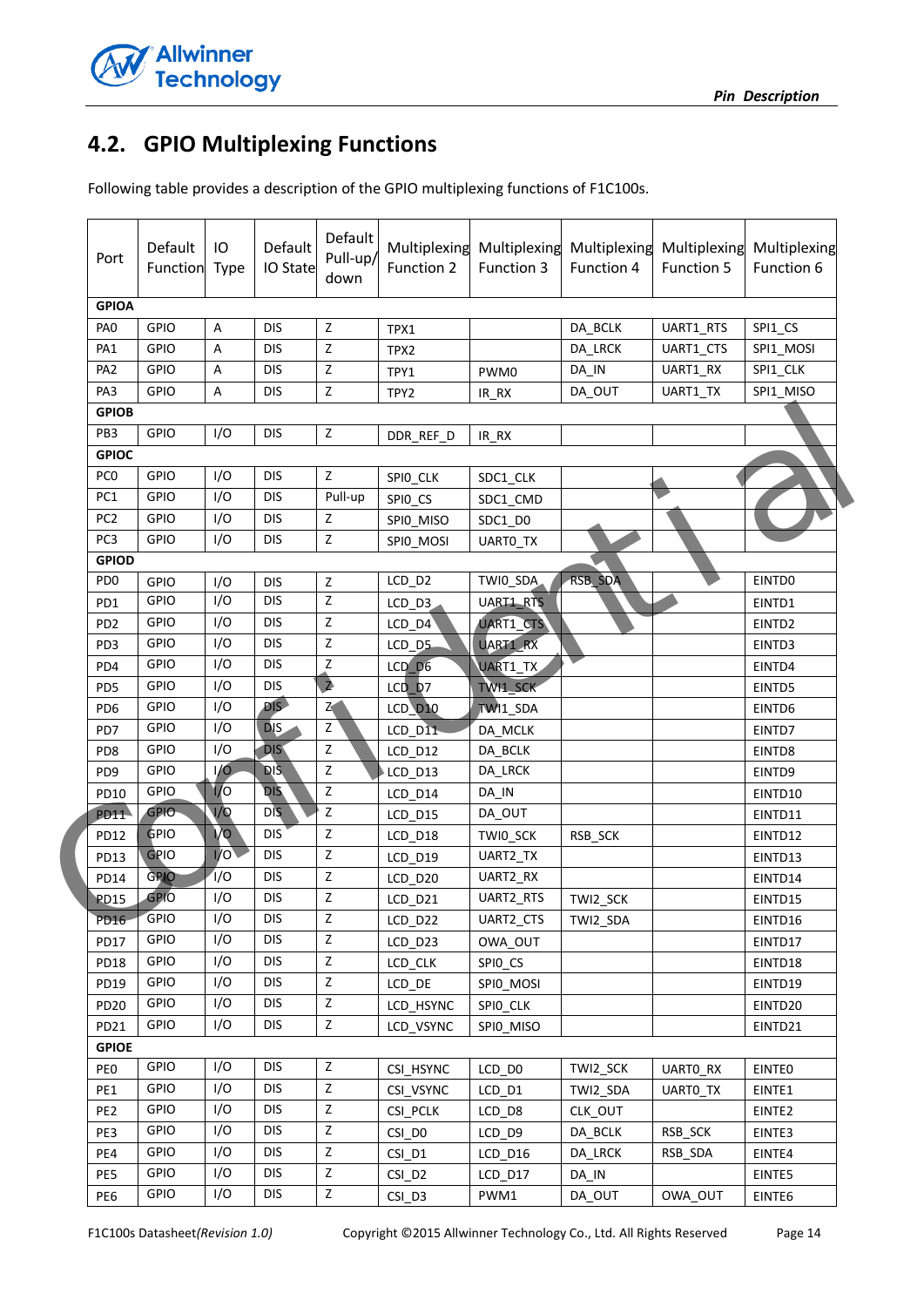

# <span id="page-13-0"></span>**4.2. GPIO Multiplexing Functions**

Following table provides a description of the GPIO multiplexing functions of F1C100s.

| Port             | Default<br>Function | IО<br>Type | Default<br>IO State | Default<br>Pull-up/<br>down | Multiplexing<br>Function 2 | Function 3 | Multiplexing Multiplexing<br>Function 4 | Multiplexing<br>Function 5 | Multiplexing<br>Function 6 |
|------------------|---------------------|------------|---------------------|-----------------------------|----------------------------|------------|-----------------------------------------|----------------------------|----------------------------|
| <b>GPIOA</b>     |                     |            |                     |                             |                            |            |                                         |                            |                            |
| PA <sub>0</sub>  | GPIO                | Α          | <b>DIS</b>          | $\mathsf Z$                 | TPX1                       |            | DA_BCLK                                 | UART1_RTS                  | SPI1_CS                    |
| PA <sub>1</sub>  | <b>GPIO</b>         | A          | <b>DIS</b>          | z                           | TPX2                       |            | DA_LRCK                                 | UART1_CTS                  | SPI1_MOSI                  |
| PA <sub>2</sub>  | <b>GPIO</b>         | Α          | <b>DIS</b>          | Z                           | TPY1                       | PWM0       | DA_IN                                   | UART1_RX                   | SPI1_CLK                   |
| PA3              | GPIO                | А          | <b>DIS</b>          | $\mathsf Z$                 | TPY2                       | $IR_RX$    | DA_OUT                                  | UART1_TX                   | SPI1_MISO                  |
| <b>GPIOB</b>     |                     |            |                     |                             |                            |            |                                         |                            |                            |
| PB3              | GPIO                | I/O        | <b>DIS</b>          | $\mathsf Z$                 | DDR_REF_D                  | IR_RX      |                                         |                            |                            |
| <b>GPIOC</b>     |                     |            |                     |                             |                            |            |                                         |                            |                            |
| PC <sub>0</sub>  | <b>GPIO</b>         | I/O        | <b>DIS</b>          | Z                           | SPIO_CLK                   | SDC1_CLK   |                                         |                            |                            |
| PC1              | <b>GPIO</b>         | I/O        | <b>DIS</b>          | Pull-up                     | SPIO_CS                    | SDC1_CMD   |                                         |                            |                            |
| PC <sub>2</sub>  | <b>GPIO</b>         | I/O        | <b>DIS</b>          | Z                           | SPIO_MISO                  | SDC1 D0    |                                         |                            |                            |
| PC <sub>3</sub>  | GPIO                | I/O        | <b>DIS</b>          | Z                           | SPIO_MOSI                  | UARTO_TX   |                                         |                            |                            |
| <b>GPIOD</b>     |                     |            |                     |                             |                            |            |                                         |                            |                            |
| PD <sub>0</sub>  | GPIO                | I/O        | <b>DIS</b>          | Z                           | LCD_D2                     | TWI0_SDA   | RSB_SDA                                 |                            | EINTD0                     |
| PD <sub>1</sub>  | <b>GPIO</b>         | I/O        | <b>DIS</b>          | Z                           | LCD_D3                     | UART1_RTS  |                                         |                            | EINTD1                     |
| PD <sub>2</sub>  | <b>GPIO</b>         | I/O        | <b>DIS</b>          | Z                           | $LCD_$ 04                  | UART1_CTS  |                                         |                            | EINTD2                     |
| PD3              | GPIO                | I/O        | <b>DIS</b>          | Z                           | LCD_D5                     | UART1_RX   |                                         |                            | EINTD3                     |
| PD4              | <b>GPIO</b>         | I/O        | <b>DIS</b>          | Z                           | $LCD_0$                    | UART1_TX   |                                         |                            | EINTD4                     |
| PD <sub>5</sub>  | <b>GPIO</b>         | I/O        | <b>DIS</b>          | $\blacktriangle$            | LCD D7                     | TW11 SCK   |                                         |                            | EINTD5                     |
| PD <sub>6</sub>  | GPIO                | I/O        | DIS <sub>D</sub>    | $\overline{z}$              | <b>LCD</b> D <sub>10</sub> | TWI1_SDA   |                                         |                            | EINTD6                     |
| PD7              | <b>GPIO</b>         | I/O        | <b>DIS</b>          | ž                           | LCD_D11                    | DA_MCLK    |                                         |                            | EINTD7                     |
| PD <sub>8</sub>  | <b>GPIO</b>         | I/O        | DIS-                | $\mathsf Z$                 | LCD_D12                    | DA_BCLK    |                                         |                            | EINTD8                     |
| PD <sub>9</sub>  | <b>GPIO</b>         | I/O        | <b>DIS</b>          | $\mathsf Z$                 | LCD_D13                    | DA_LRCK    |                                         |                            | EINTD9                     |
| <b>PD10</b>      | <b>GPIO</b>         | <b>VO</b>  | <b>DIS</b>          | $\mathsf Z$                 | LCD_D14                    | DA_IN      |                                         |                            | EINTD10                    |
| <b>PD11</b>      | <b>GPIO</b>         | 1/0        | <b>DIS</b>          | $\overline{z}$              | LCD_D15                    | DA_OUT     |                                         |                            | EINTD11                    |
| <b>PD12</b>      | GPIO                | <b>Vo</b>  | <b>DIS</b>          | Z                           | LCD_D18                    | TWI0_SCK   | RSB_SCK                                 |                            | EINTD12                    |
| <b>PD13</b>      | GPIO                | 1/O        | <b>DIS</b>          | Z                           | LCD D19                    | UART2_TX   |                                         |                            | EINTD13                    |
| <b>PD14</b>      | GPIO                | Ί/O        | <b>DIS</b>          | $\mathsf Z$                 | LCD_D20                    | UART2_RX   |                                         |                            | EINTD14                    |
| PD15             | GPIO                | I/O        | <b>DIS</b>          | Z                           | LCD_D21                    | UART2_RTS  | TWI2_SCK                                |                            | EINTD15                    |
| PD16             | <b>GPIO</b>         | I/O        | <b>DIS</b>          | z                           | LCD_D22                    | UART2_CTS  | TWI2_SDA                                |                            | EINTD16                    |
| PD17             | GPIO                | I/O        | <b>DIS</b>          | Z                           | LCD D23                    | OWA OUT    |                                         |                            | EINTD17                    |
| <b>PD18</b>      | <b>GPIO</b>         | I/O        | <b>DIS</b>          | $\mathsf Z$                 | <b>LCD CLK</b>             | SPIO_CS    |                                         |                            | EINTD18                    |
| <b>PD19</b>      | <b>GPIO</b>         | I/O        | <b>DIS</b>          | z                           | LCD_DE                     | SPIO_MOSI  |                                         |                            | EINTD19                    |
| <b>PD20</b>      | <b>GPIO</b>         | I/O        | <b>DIS</b>          | $\mathsf Z$                 | LCD_HSYNC                  | SPIO_CLK   |                                         |                            | EINTD20                    |
| PD <sub>21</sub> | <b>GPIO</b>         | I/O        | <b>DIS</b>          | Z                           | LCD_VSYNC                  | SPIO_MISO  |                                         |                            | EINTD21                    |
| <b>GPIOE</b>     |                     |            |                     |                             |                            |            |                                         |                            |                            |
| PE <sub>0</sub>  | <b>GPIO</b>         | I/O        | <b>DIS</b>          | z                           | CSI HSYNC                  | LCD DO     | TWI2_SCK                                | UARTO_RX                   | <b>EINTEO</b>              |
| PE1              | <b>GPIO</b>         | I/O        | <b>DIS</b>          | $\mathsf Z$                 | CSI_VSYNC                  | LCD_D1     | TWI2 SDA                                | UARTO_TX                   | EINTE1                     |
| PE <sub>2</sub>  | GPIO                | I/O        | <b>DIS</b>          | $\mathsf Z$                 | CSI_PCLK                   | LCD_D8     | CLK_OUT                                 |                            | EINTE2                     |
| PE3              | GPIO                | I/O        | <b>DIS</b>          | $\mathsf Z$                 | CSI_DO                     | LCD_D9     | DA_BCLK                                 | RSB_SCK                    | EINTE3                     |
| PE4              | <b>GPIO</b>         | I/O        | <b>DIS</b>          | $\mathsf Z$                 | CSI_D1                     | LCD_D16    | DA_LRCK                                 | RSB_SDA                    | EINTE4                     |
| PE5              | GPIO                | I/O        | <b>DIS</b>          | Z                           | $CSI_D2$                   | LCD_D17    | DA_IN                                   |                            | EINTE5                     |
| PE6              | GPIO                | I/O        | <b>DIS</b>          | $\mathsf Z$                 | $CSI_D3$                   | PWM1       | DA_OUT                                  | OWA OUT                    | EINTE6                     |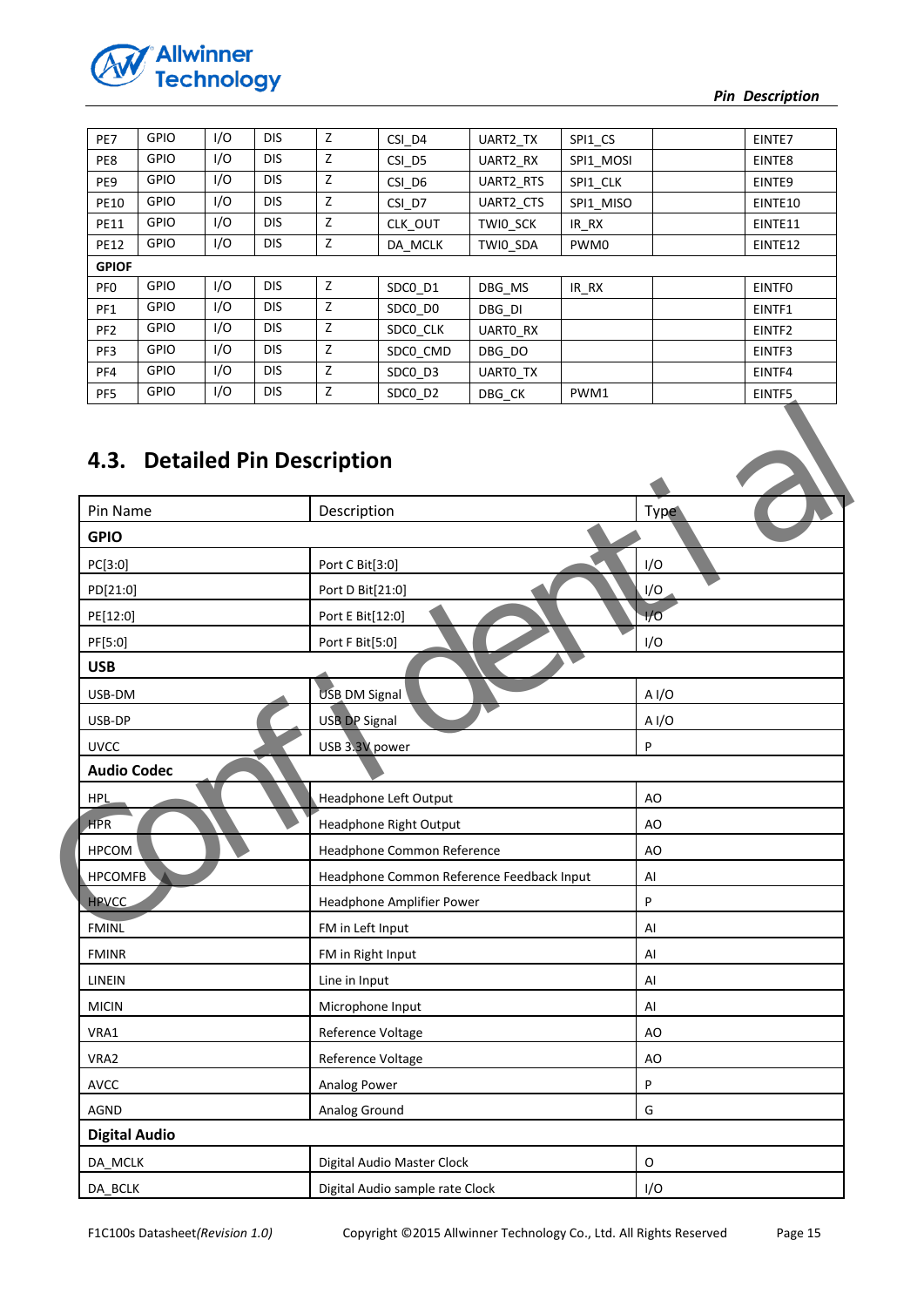

| PE7             | <b>GPIO</b> | 1/O | <b>DIS</b> | Z | CSI_D4   | UART2 TX  | SPI1_CS   | EINTE7             |
|-----------------|-------------|-----|------------|---|----------|-----------|-----------|--------------------|
| PE8             | <b>GPIO</b> | I/O | <b>DIS</b> | Z | CSI D5   | UART2 RX  | SPI1 MOSI | EINTE8             |
| PE9             | <b>GPIO</b> | I/O | <b>DIS</b> | Z | CSI_D6   | UART2_RTS | SPI1 CLK  | EINTE9             |
| <b>PE10</b>     | <b>GPIO</b> | I/O | DIS.       | z | CSI D7   | UART2 CTS | SPI1 MISO | EINTE10            |
| <b>PE11</b>     | <b>GPIO</b> | I/O | <b>DIS</b> | Z | CLK OUT  | TWIO SCK  | IR RX     | EINTE11            |
| <b>PE12</b>     | <b>GPIO</b> | I/O | <b>DIS</b> | z | DA MCLK  | TWI0 SDA  | PWM0      | EINTE12            |
| <b>GPIOF</b>    |             |     |            |   |          |           |           |                    |
| PF <sub>0</sub> | <b>GPIO</b> | 1/O | <b>DIS</b> | Z | SDCO D1  | DBG MS    | IR RX     | <b>EINTFO</b>      |
| PF1             | <b>GPIO</b> | 1/O | <b>DIS</b> | Z | SDCO DO  | DBG DI    |           | EINTF1             |
| PF <sub>2</sub> | <b>GPIO</b> | I/O | <b>DIS</b> | Z | SDCO CLK | UARTO RX  |           | EINTF <sub>2</sub> |
| PF3             | <b>GPIO</b> | I/O | <b>DIS</b> | z | SDC0 CMD | DBG DO    |           | EINTF3             |
| PF4             | <b>GPIO</b> | I/O | DIS.       | z | SDCO D3  | UARTO_TX  |           | EINTF4             |
| PF5             | <b>GPIO</b> | I/O | <b>DIS</b> | z | SDCO D2  | DBG CK    | PWM1      | EINTF5             |

# <span id="page-14-0"></span>**4.3. Detailed Pin Description**

| Pin Name           | Description                               | Type  |
|--------------------|-------------------------------------------|-------|
| <b>GPIO</b>        |                                           |       |
| PC[3:0]            | Port C Bit[3:0]                           | I/O   |
| PD[21:0]           | Port D Bit[21:0]                          | I/O   |
| PE[12:0]           | Port E Bit[12:0]                          | 1/0   |
| PF[5:0]            | Port F Bit[5:0]                           | I/O   |
| <b>USB</b>         |                                           |       |
| USB-DM             | <b>USB DM Signal</b>                      | A I/O |
| USB-DP             | <b>USB DP Signal</b>                      | A I/O |
| <b>UVCC</b>        | USB 3.3V power                            | P     |
| <b>Audio Codec</b> |                                           |       |
| <b>HPL</b>         | <b>Headphone Left Output</b>              | AO    |
| <b>HPR</b>         | Headphone Right Output                    | AO    |
| <b>HPCOM</b>       | Headphone Common Reference                | AO    |
| <b>HPCOMFB</b>     | Headphone Common Reference Feedback Input | Al    |
| <b>HPVCC</b>       | Headphone Amplifier Power                 | P     |
| <b>FMINL</b>       | FM in Left Input                          | AI    |
| <b>FMINR</b>       | FM in Right Input                         | Al    |
| LINEIN             | Line in Input                             | Al    |
| <b>MICIN</b>       | Microphone Input                          | Al    |
| VRA1               | Reference Voltage                         | AO    |
| VRA2               | Reference Voltage                         | AO    |
| <b>AVCC</b>        | Analog Power                              | P     |
|                    |                                           |       |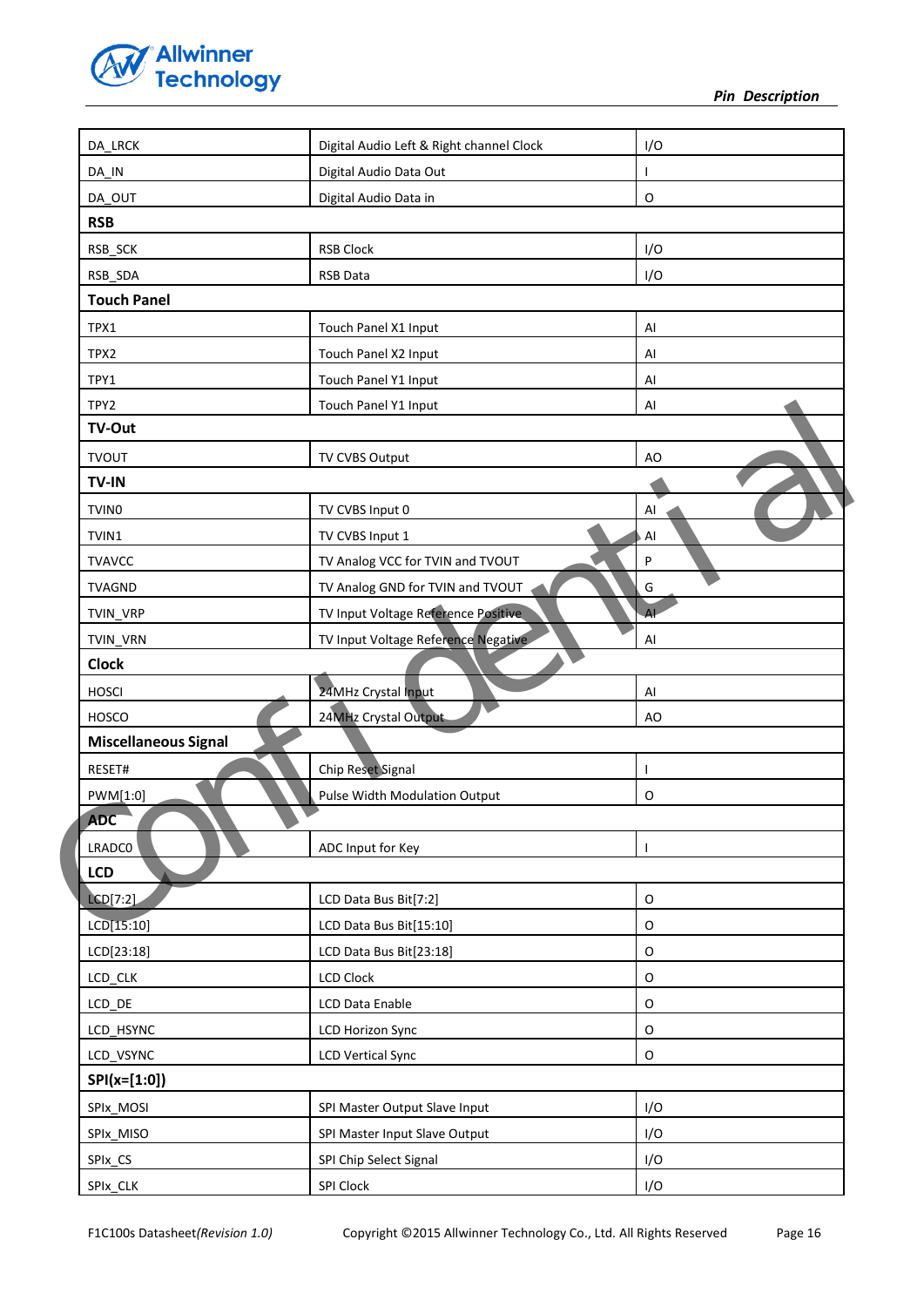

| DA_LRCK                     | Digital Audio Left & Right channel Clock | I/O       |
|-----------------------------|------------------------------------------|-----------|
| DA_IN                       | Digital Audio Data Out                   | ı         |
| DA_OUT                      | Digital Audio Data in                    | O         |
| <b>RSB</b>                  |                                          |           |
| RSB_SCK                     | <b>RSB Clock</b>                         | I/O       |
| RSB_SDA                     | <b>RSB Data</b>                          | I/O       |
| <b>Touch Panel</b>          |                                          |           |
| TPX1                        | Touch Panel X1 Input                     | AI        |
| TPX2                        | Touch Panel X2 Input                     | Al        |
| TPY1                        | Touch Panel Y1 Input                     | AI        |
| TPY2                        | Touch Panel Y1 Input                     | AI        |
| TV-Out                      |                                          |           |
| <b>TVOUT</b>                | TV CVBS Output                           | AO        |
| TV-IN                       |                                          |           |
| TVIN <sub>0</sub>           | TV CVBS Input 0                          | AI        |
| TVIN1                       | TV CVBS Input 1                          | Al        |
| <b>TVAVCC</b>               | TV Analog VCC for TVIN and TVOUT         | P         |
| <b>TVAGND</b>               | TV Analog GND for TVIN and TVOUT         | G         |
| TVIN_VRP                    | TV Input Voltage Reference Positive      | <b>AL</b> |
| TVIN_VRN                    | TV Input Voltage Reference Negative      | AI        |
| <b>Clock</b>                |                                          |           |
| <b>HOSCI</b>                | 24MHz Crystal Input                      | Al        |
| <b>HOSCO</b>                | 24MHz Crystal Output                     | AO        |
| <b>Miscellaneous Signal</b> |                                          |           |
| RESET#                      | Chip Reset Signal                        | ı         |
| PWM[1:0]                    | Pulse Width Modulation Output            | O         |
| <b>ADC</b>                  |                                          |           |
| LRADC0                      | ADC Input for Key                        | ш         |
| LCD                         |                                          |           |
| LCD[7:2]                    | LCD Data Bus Bit[7:2]                    | O         |
| LCD[15:10]                  | LCD Data Bus Bit[15:10]                  | O         |
| LCD[23:18]                  | LCD Data Bus Bit[23:18]                  | O         |
| LCD_CLK                     | <b>LCD Clock</b>                         | O         |
| LCD_DE                      | LCD Data Enable                          | O         |
| LCD_HSYNC                   | <b>LCD Horizon Sync</b>                  | O         |
| LCD_VSYNC                   | <b>LCD Vertical Sync</b>                 | O         |
| $SPI(x=[1:0])$              |                                          |           |
|                             |                                          | I/O       |
| SPIx_MOSI                   | SPI Master Output Slave Input            |           |
| SPIx_MISO                   | SPI Master Input Slave Output            | I/O       |
| SPIx_CS                     | SPI Chip Select Signal                   | I/O       |
| SPIx_CLK                    | SPI Clock                                | I/O       |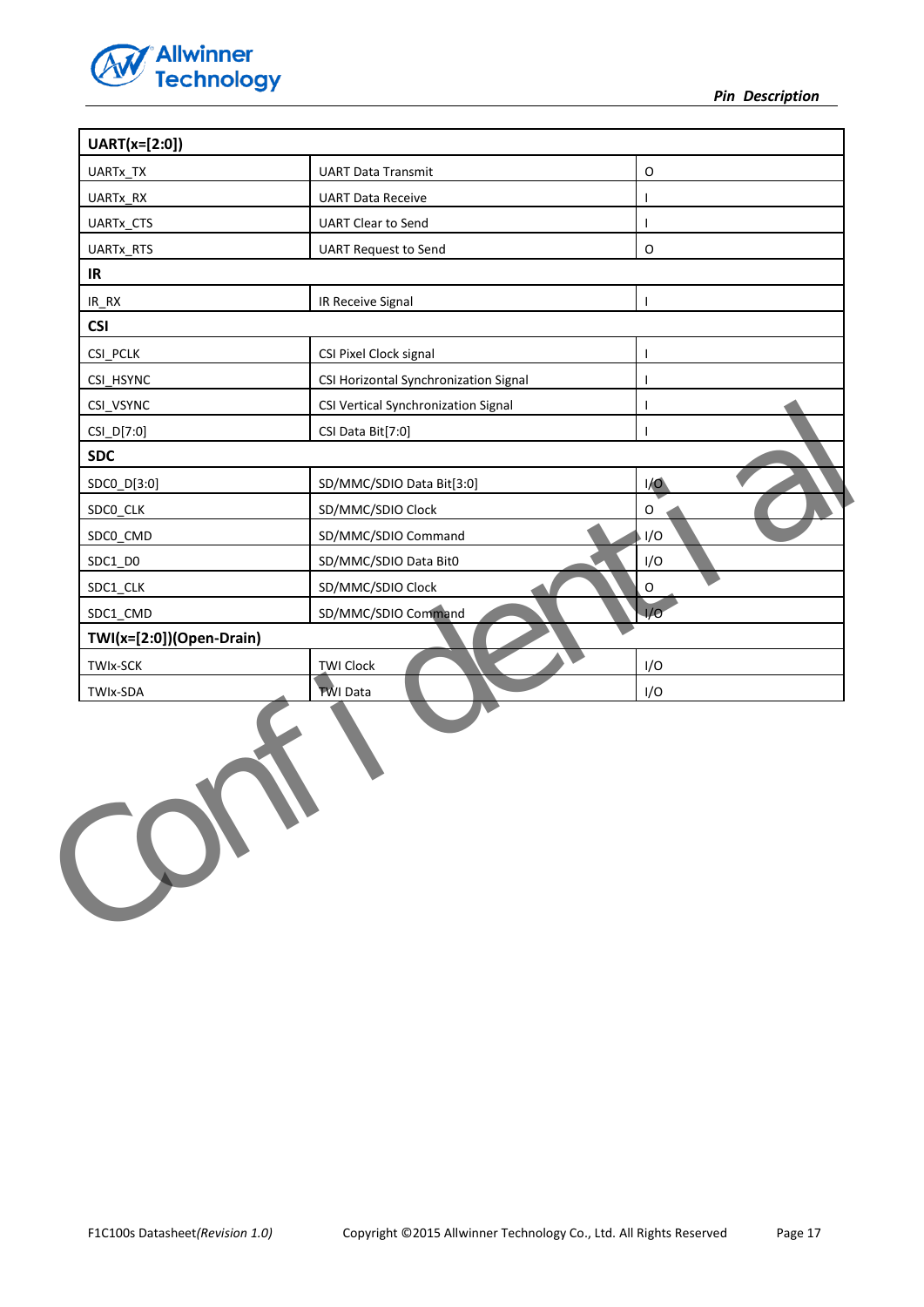

*Pin Description* 

| UART(x=[2:0])            |                                       |              |
|--------------------------|---------------------------------------|--------------|
| UARTx_TX                 | <b>UART Data Transmit</b>             | O            |
| UARTx_RX                 | <b>UART Data Receive</b>              | $\mathbf{I}$ |
| UARTx_CTS                | <b>UART Clear to Send</b>             | $\mathbf{I}$ |
| UARTx_RTS                | <b>UART Request to Send</b>           | O            |
| IR                       |                                       |              |
| $IR_RX$                  | IR Receive Signal                     | $\mathbf{I}$ |
| <b>CSI</b>               |                                       |              |
| CSI PCLK                 | CSI Pixel Clock signal                | I            |
| CSI_HSYNC                | CSI Horizontal Synchronization Signal | I            |
| CSI_VSYNC                | CSI Vertical Synchronization Signal   | T            |
| CSI_D[7:0]               | CSI Data Bit[7:0]                     | п            |
| <b>SDC</b>               |                                       |              |
| SDC0_D[3:0]              | SD/MMC/SDIO Data Bit[3:0]             | I/O          |
| SDCO_CLK                 | SD/MMC/SDIO Clock                     | O            |
| SDC0_CMD                 | SD/MMC/SDIO Command                   | I/O          |
| SDC1_D0                  | SD/MMC/SDIO Data Bit0                 | I/O          |
| SDC1_CLK                 | SD/MMC/SDIO Clock                     | $\circ$      |
| SDC1_CMD                 | SD/MMC/SDIO Command                   | 1/O          |
| TWI(x=[2:0])(Open-Drain) |                                       |              |
| <b>TWIx-SCK</b>          | <b>TWI Clock</b>                      | I/O          |
| TWIx-SDA                 | <b>TWI Data</b>                       | I/O          |
|                          |                                       |              |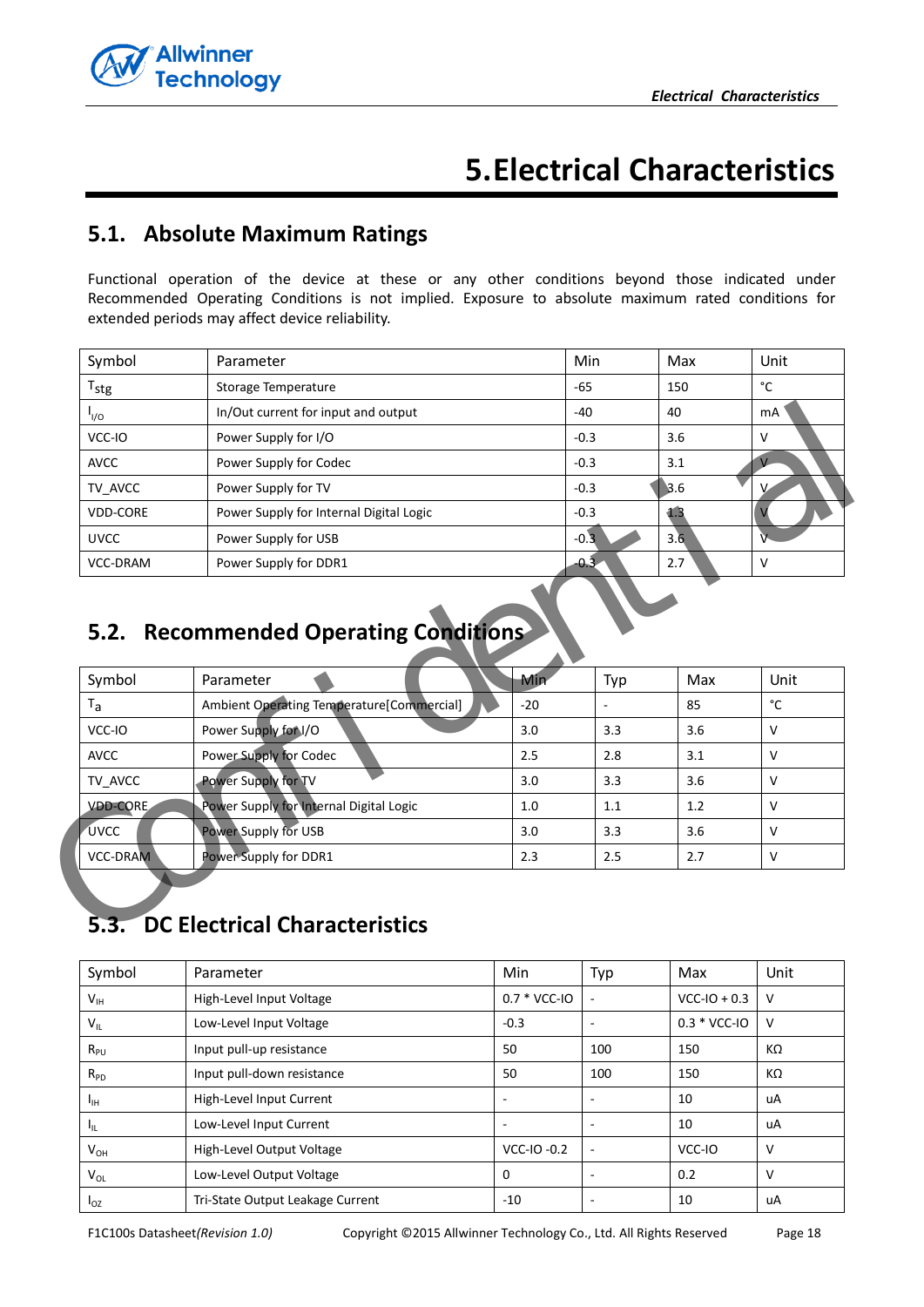

# **5.Electrical Characteristics**

# <span id="page-17-1"></span><span id="page-17-0"></span>**5.1. Absolute Maximum Ratings**

Functional operation of the device at these or any other conditions beyond those indicated under Recommended Operating Conditions is not implied. Exposure to absolute maximum rated conditions for extended periods may affect device reliability.

| Symbol                                | Parameter                               | Min      | Max | Unit |  |  |  |
|---------------------------------------|-----------------------------------------|----------|-----|------|--|--|--|
| $T_{\text{stg}}$                      | Storage Temperature                     | -65      | 150 | °C   |  |  |  |
| $I_{VQ}$                              | In/Out current for input and output     | -40      | 40  | mA   |  |  |  |
| VCC-IO                                | Power Supply for I/O                    | $-0.3$   | 3.6 | v    |  |  |  |
| <b>AVCC</b>                           | Power Supply for Codec                  | $-0.3$   | 3.1 |      |  |  |  |
| TV AVCC                               | Power Supply for TV                     | $-0.3$   | 3.6 | v    |  |  |  |
| <b>VDD-CORE</b>                       | Power Supply for Internal Digital Logic | $-0.3$   | 1.3 |      |  |  |  |
| <b>UVCC</b>                           | Power Supply for USB                    | $-0.3 +$ | 3.6 |      |  |  |  |
| <b>VCC-DRAM</b>                       | Power Supply for DDR1                   | $-0.3$   | 2.7 | ν    |  |  |  |
| 5.2. Recommended Operating Conditions |                                         |          |     |      |  |  |  |

# <span id="page-17-2"></span>**5.2. Recommended Operating Conditions**

| $I_{VQ}$               |                                           |       |         |     |              |
|------------------------|-------------------------------------------|-------|---------|-----|--------------|
|                        | In/Out current for input and output       |       | $-40$   | 40  | mA           |
| VCC-IO                 | Power Supply for I/O                      |       | $-0.3$  | 3.6 | $\mathsf{V}$ |
| <b>AVCC</b>            | Power Supply for Codec                    |       | $-0.3$  | 3.1 |              |
| TV AVCC                | Power Supply for TV                       |       | $-0.3$  | 3.6 | V            |
| <b>VDD-CORE</b>        | Power Supply for Internal Digital Logic   |       | $-0.3$  | 1.3 |              |
| <b>UVCC</b>            | Power Supply for USB                      |       | $-0.31$ | 3.6 |              |
| VCC-DRAM               | Power Supply for DDR1                     |       | $-0.3$  | 2.7 | v            |
|                        | 5.2. Recommended Operating Conditions     |       |         |     |              |
|                        |                                           |       |         |     |              |
|                        | Parameter                                 | Min   | Typ     | Max | Unit         |
| Symbol<br>$T_{\rm a}$  | Ambient Operating Temperature[Commercial] | $-20$ | ÷,      | 85  | °C           |
| VCC-IO                 | Power Supply for I/O                      | 3.0   | 3.3     | 3.6 | $\vee$       |
|                        | Power Supply for Codec                    | 2.5   | 2.8     | 3.1 | $\mathsf{V}$ |
| <b>AVCC</b><br>TV_AVCC | Power Supply for TV                       | 3.0   | 3.3     | 3.6 | $\vee$       |
| <b>VDDCORE</b>         | Power Supply for Internal Digital Logic   | 1.0   | 1.1     | 1.2 | $\mathsf{V}$ |
| <b>UVCC</b>            | Power Supply for USB                      | 3.0   | 3.3     | 3.6 | $\vee$       |
| <b>VCC-DRAM</b>        | Power Supply for DDR1                     | 2.3   | 2.5     | 2.7 | $\mathsf{V}$ |

# <span id="page-17-3"></span>**5.3. DC Electrical Characteristics**

| Symbol   | Parameter                        | Min            | Typ                      | Max            | Unit         |
|----------|----------------------------------|----------------|--------------------------|----------------|--------------|
| $V_{IH}$ | High-Level Input Voltage         | $0.7 * VCC-IO$ | $\overline{\phantom{a}}$ | $VCC-IO + 0.3$ | V            |
| $V_{IL}$ | Low-Level Input Voltage          | $-0.3$         | $\overline{\phantom{a}}$ | $0.3 * VCC-IO$ | $\mathsf{V}$ |
| $R_{PU}$ | Input pull-up resistance         | 50             | 100                      | 150            | KΩ           |
| $R_{PD}$ | Input pull-down resistance       | 50             | 100                      | 150            | KΩ           |
| Īщ       | High-Level Input Current         | ٠              | $\overline{\phantom{a}}$ | 10             | uA           |
| Чı.      | Low-Level Input Current          |                | $\overline{\phantom{a}}$ | 10             | uA           |
| $V_{OH}$ | High-Level Output Voltage        | VCC-IO -0.2    | $\overline{\phantom{a}}$ | VCC-IO         | v            |
| $V_{OL}$ | Low-Level Output Voltage         | $\mathbf 0$    | -                        | 0.2            | v            |
| $I_{OZ}$ | Tri-State Output Leakage Current | $-10$          | -                        | 10             | uA           |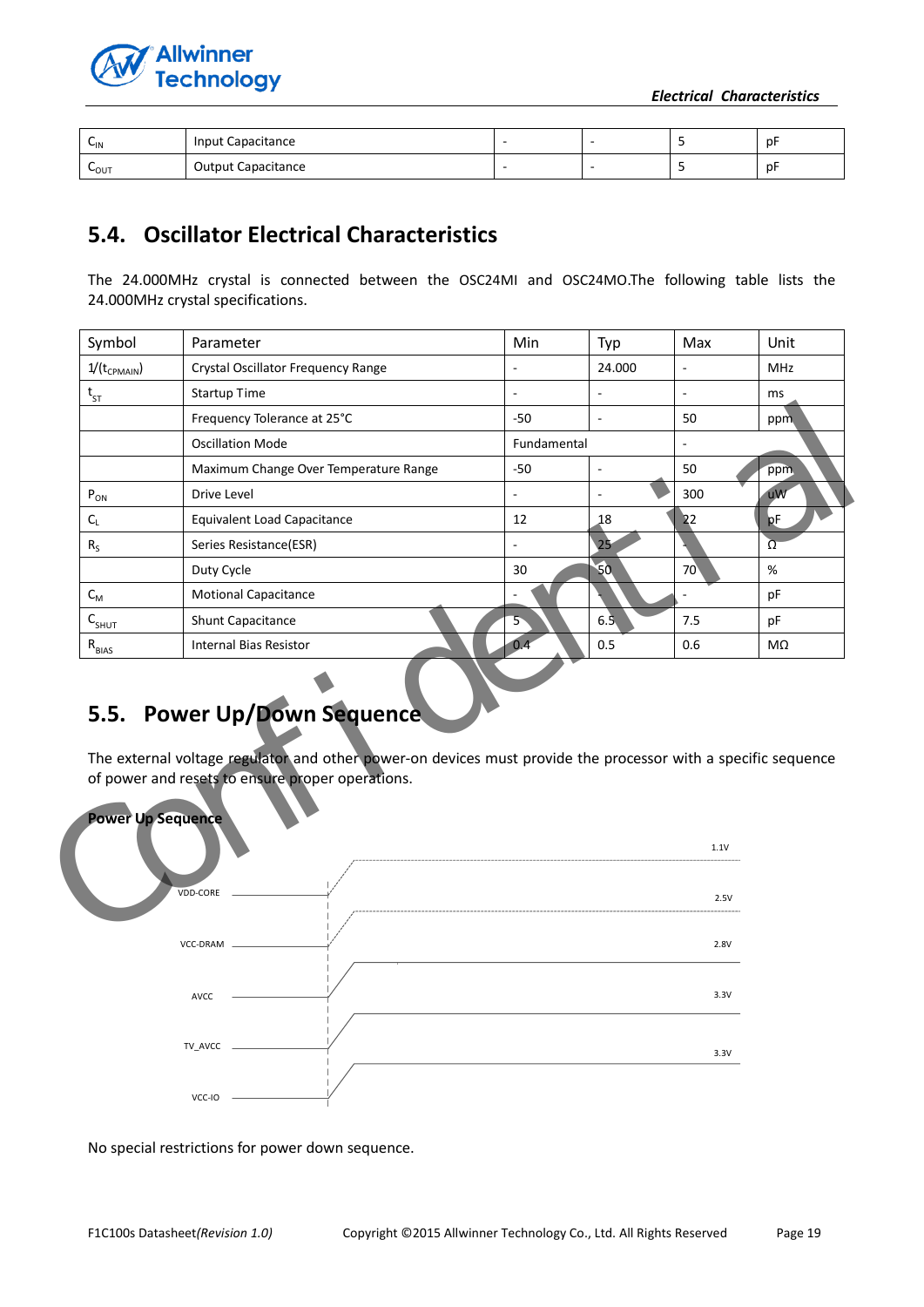



| $C_{\text{IN}}$  | Input Capacitance         |  | .nF |
|------------------|---------------------------|--|-----|
| $L_{\text{OUT}}$ | <b>Output Capacitance</b> |  | .nF |

# <span id="page-18-0"></span>**5.4. Oscillator Electrical Characteristics**

The 24.000MHz crystal is connected between the OSC24MI and OSC24MO.The following table lists the 24.000MHz crystal specifications.

| Symbol                        | Parameter                                                                                                                                                                                        | Min            | Typ                      | Max          | Unit       |  |
|-------------------------------|--------------------------------------------------------------------------------------------------------------------------------------------------------------------------------------------------|----------------|--------------------------|--------------|------------|--|
| $1/(t_{CPMAIN})$              | Crystal Oscillator Frequency Range                                                                                                                                                               |                | 24.000                   |              | <b>MHz</b> |  |
| $\rm t_{\rm ST}$              | <b>Startup Time</b>                                                                                                                                                                              |                |                          |              | ms         |  |
|                               | Frequency Tolerance at 25°C                                                                                                                                                                      | $-50$          |                          | 50           | ppm        |  |
|                               | <b>Oscillation Mode</b>                                                                                                                                                                          |                | Fundamental              |              |            |  |
|                               | Maximum Change Over Temperature Range                                                                                                                                                            | $-50$          | $\overline{\phantom{a}}$ | 50           | ppm        |  |
| $P_{ON}$                      | Drive Level                                                                                                                                                                                      | $\overline{a}$ | $\sim$                   | 300          | uW         |  |
| $C_L$                         | <b>Equivalent Load Capacitance</b>                                                                                                                                                               | 12             | 18                       | 22           | pF         |  |
| $R_{S}$                       | Series Resistance(ESR)                                                                                                                                                                           |                | 25                       |              | Ω          |  |
|                               | Duty Cycle                                                                                                                                                                                       | 30             | 50                       | 70           | %          |  |
| $C_{M}$                       | <b>Motional Capacitance</b>                                                                                                                                                                      |                |                          |              | pF         |  |
| $C_{SHUT}$                    | <b>Shunt Capacitance</b>                                                                                                                                                                         |                | 6.5                      | 7.5          | pF         |  |
| $R_{\underline{\text{BIAS}}}$ | <b>Internal Bias Resistor</b>                                                                                                                                                                    | 0.4            | $0.5^{\degree}$          | 0.6          | MΩ         |  |
|                               | 5.5. Power Up/Down Sequence<br>The external voltage regulator and other power-on devices must provide the processor with a specific sequence<br>of power and resets to ensure proper operations. |                |                          |              |            |  |
| <b>Power Up Sequence</b>      | <b>VDD-CORE</b>                                                                                                                                                                                  |                |                          | 1.1V<br>2.5V |            |  |
|                               |                                                                                                                                                                                                  |                |                          |              |            |  |
|                               |                                                                                                                                                                                                  |                |                          |              |            |  |

# <span id="page-18-1"></span>**5.5. Power Up/Down Sequence**



No special restrictions for power down sequence.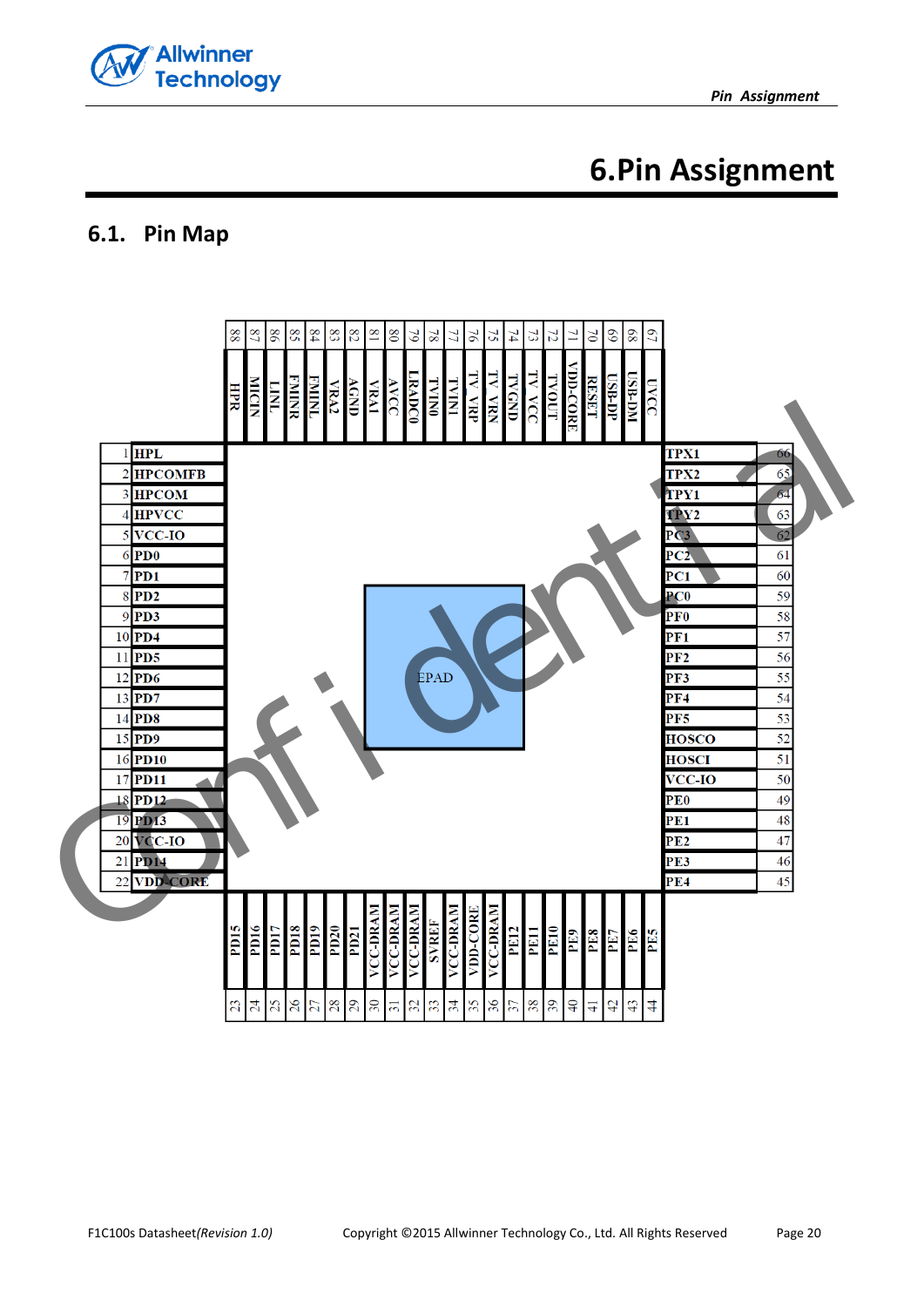

# **6.Pin Assignment**

## <span id="page-19-1"></span><span id="page-19-0"></span>**6.1. Pin Map**